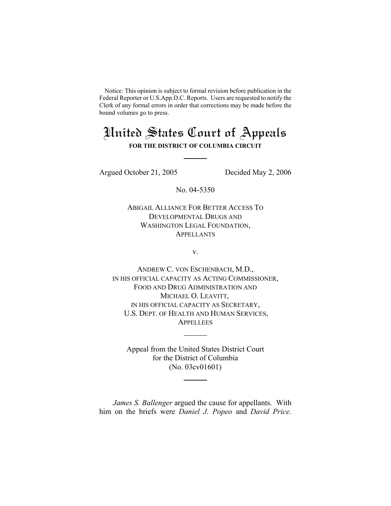Notice: This opinion is subject to formal revision before publication in the Federal Reporter or U.S.App.D.C. Reports. Users are requested to notify the Clerk of any formal errors in order that corrections may be made before the bound volumes go to press.

# United States Court of Appeals

**FOR THE DISTRICT OF COLUMBIA CIRCUIT**

Argued October 21, 2005 Decided May 2, 2006

No. 04-5350

ABIGAIL ALLIANCE FOR BETTER ACCESS TO DEVELOPMENTAL DRUGS AND WASHINGTON LEGAL FOUNDATION, APPELLANTS

v.

ANDREW C. VON ESCHENBACH, M.D., IN HIS OFFICIAL CAPACITY AS ACTING COMMISSIONER, FOOD AND DRUG ADMINISTRATION AND MICHAEL O. LEAVITT, IN HIS OFFICIAL CAPACITY AS SECRETARY, U.S. DEPT. OF HEALTH AND HUMAN SERVICES, **APPELLEES** 

Appeal from the United States District Court for the District of Columbia (No. 03cv01601)

*James S. Ballenger* argued the cause for appellants. With him on the briefs were *Daniel J. Popeo* and *David Price*.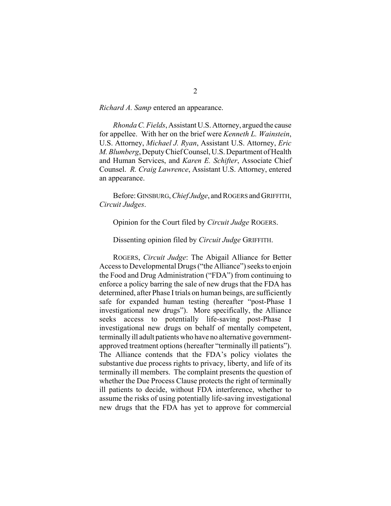*Richard A. Samp* entered an appearance.

*Rhonda C. Fields*, Assistant U.S. Attorney, argued the cause for appellee. With her on the brief were *Kenneth L. Wainstein*, U.S. Attorney, *Michael J. Ryan*, Assistant U.S. Attorney, *Eric M. Blumberg*, Deputy Chief Counsel, U.S. Department of Health and Human Services, and *Karen E. Schifter*, Associate Chief Counsel. *R. Craig Lawrence*, Assistant U.S. Attorney, entered an appearance.

Before: GINSBURG, *Chief Judge*, and ROGERS and GRIFFITH, *Circuit Judges*.

Opinion for the Court filed by *Circuit Judge* ROGERS.

Dissenting opinion filed by *Circuit Judge* GRIFFITH.

ROGERS, *Circuit Judge*: The Abigail Alliance for Better Access to Developmental Drugs ("the Alliance") seeks to enjoin the Food and Drug Administration ("FDA") from continuing to enforce a policy barring the sale of new drugs that the FDA has determined, after Phase I trials on human beings, are sufficiently safe for expanded human testing (hereafter "post-Phase I investigational new drugs"). More specifically, the Alliance seeks access to potentially life-saving post-Phase I investigational new drugs on behalf of mentally competent, terminally ill adult patients who have no alternative governmentapproved treatment options (hereafter "terminally ill patients"). The Alliance contends that the FDA's policy violates the substantive due process rights to privacy, liberty, and life of its terminally ill members. The complaint presents the question of whether the Due Process Clause protects the right of terminally ill patients to decide, without FDA interference, whether to assume the risks of using potentially life-saving investigational new drugs that the FDA has yet to approve for commercial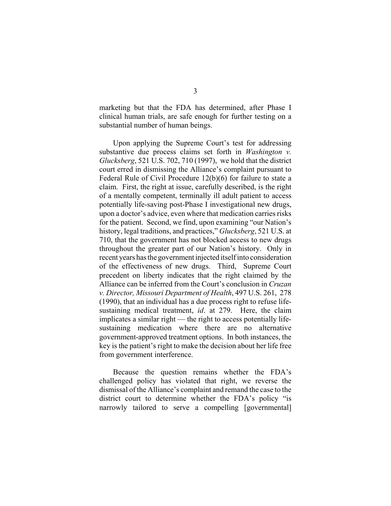marketing but that the FDA has determined, after Phase I clinical human trials, are safe enough for further testing on a substantial number of human beings.

Upon applying the Supreme Court's test for addressing substantive due process claims set forth in *Washington v. Glucksberg*, 521 U.S. 702, 710 (1997), we hold that the district court erred in dismissing the Alliance's complaint pursuant to Federal Rule of Civil Procedure 12(b)(6) for failure to state a claim. First, the right at issue, carefully described, is the right of a mentally competent, terminally ill adult patient to access potentially life-saving post-Phase I investigational new drugs, upon a doctor's advice, even where that medication carries risks for the patient. Second, we find, upon examining "our Nation's history, legal traditions, and practices," *Glucksberg*, 521 U.S. at 710, that the government has not blocked access to new drugs throughout the greater part of our Nation's history. Only in recent years has the government injected itself into consideration of the effectiveness of new drugs. Third, Supreme Court precedent on liberty indicates that the right claimed by the Alliance can be inferred from the Court's conclusion in *Cruzan v. Director, Missouri Department of Health*, 497 U.S. 261, 278 (1990), that an individual has a due process right to refuse lifesustaining medical treatment, *id*. at 279. Here, the claim implicates a similar right — the right to access potentially lifesustaining medication where there are no alternative government-approved treatment options. In both instances, the key is the patient's right to make the decision about her life free from government interference.

Because the question remains whether the FDA's challenged policy has violated that right, we reverse the dismissal of the Alliance's complaint and remand the case to the district court to determine whether the FDA's policy "is narrowly tailored to serve a compelling [governmental]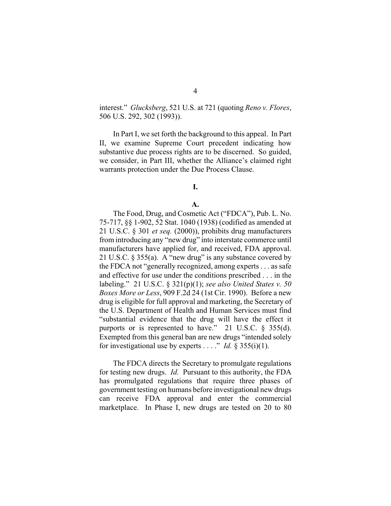interest." *Glucksberg*, 521 U.S. at 721 (quoting *Reno v. Flores*, 506 U.S. 292, 302 (1993)).

In Part I, we set forth the background to this appeal. In Part II, we examine Supreme Court precedent indicating how substantive due process rights are to be discerned. So guided, we consider, in Part III, whether the Alliance's claimed right warrants protection under the Due Process Clause.

## **I.**

#### **A.**

The Food, Drug, and Cosmetic Act ("FDCA"), Pub. L. No. 75-717, §§ 1-902, 52 Stat. 1040 (1938) (codified as amended at 21 U.S.C. § 301 *et seq.* (2000)), prohibits drug manufacturers from introducing any "new drug" into interstate commerce until manufacturers have applied for, and received, FDA approval. 21 U.S.C. § 355(a). A "new drug" is any substance covered by the FDCA not "generally recognized, among experts . . . as safe and effective for use under the conditions prescribed . . . in the labeling." 21 U.S.C. § 321(p)(1); *see also United States v. 50 Boxes More or Less*, 909 F.2d 24 (1st Cir. 1990). Before a new drug is eligible for full approval and marketing, the Secretary of the U.S. Department of Health and Human Services must find "substantial evidence that the drug will have the effect it purports or is represented to have." 21 U.S.C. § 355(d). Exempted from this general ban are new drugs "intended solely for investigational use by experts . . . ." *Id.* § 355(i)(1).

The FDCA directs the Secretary to promulgate regulations for testing new drugs. *Id.* Pursuant to this authority, the FDA has promulgated regulations that require three phases of government testing on humans before investigational new drugs can receive FDA approval and enter the commercial marketplace. In Phase I, new drugs are tested on 20 to 80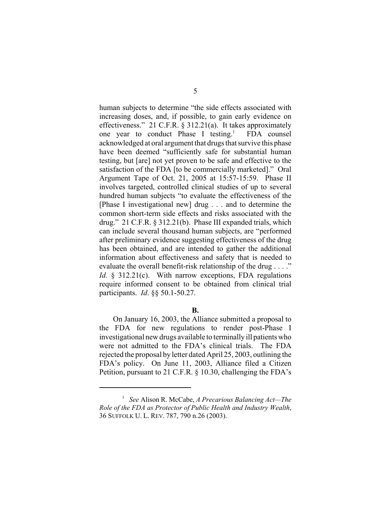human subjects to determine "the side effects associated with increasing doses, and, if possible, to gain early evidence on effectiveness." 21 C.F.R. § 312.21(a). It takes approximately one year to conduct Phase I testing.<sup>1</sup> FDA counsel acknowledged at oral argument that drugs that survive this phase have been deemed "sufficiently safe for substantial human testing, but [are] not yet proven to be safe and effective to the satisfaction of the FDA [to be commercially marketed]." Oral Argument Tape of Oct. 21, 2005 at 15:57-15:59. Phase II involves targeted, controlled clinical studies of up to several hundred human subjects "to evaluate the effectiveness of the [Phase I investigational new] drug . . . and to determine the common short-term side effects and risks associated with the drug." 21 C.F.R. § 312.21(b). Phase III expanded trials, which can include several thousand human subjects, are "performed after preliminary evidence suggesting effectiveness of the drug has been obtained, and are intended to gather the additional information about effectiveness and safety that is needed to evaluate the overall benefit-risk relationship of the drug . . . ." *Id.* § 312.21(c). With narrow exceptions, FDA regulations require informed consent to be obtained from clinical trial participants. *Id*. §§ 50.1-50.27.

## **B.** B.

On January 16, 2003, the Alliance submitted a proposal to the FDA for new regulations to render post-Phase I investigational new drugs available to terminally ill patients who were not admitted to the FDA's clinical trials. The FDA rejected the proposal by letter dated April 25, 2003, outlining the FDA's policy. On June 11, 2003, Alliance filed a Citizen Petition, pursuant to 21 C.F.R. § 10.30, challenging the FDA's

<sup>1</sup> *See* Alison R. McCabe, *A Precarious Balancing Act—The Role of the FDA as Protector of Public Health and Industry Wealth*, 36 SUFFOLK U. L. REV. 787, 790 n.26 (2003).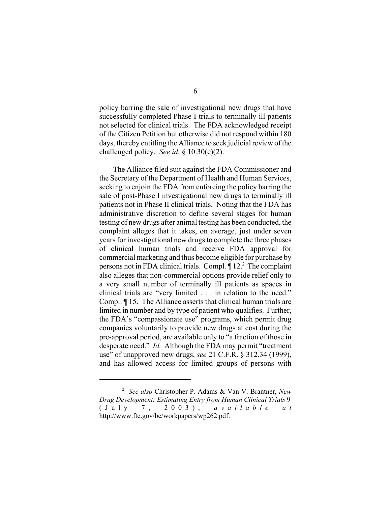policy barring the sale of investigational new drugs that have successfully completed Phase I trials to terminally ill patients not selected for clinical trials. The FDA acknowledged receipt of the Citizen Petition but otherwise did not respond within 180 days, thereby entitling the Alliance to seek judicial review of the challenged policy. *See id*. § 10.30(e)(2).

The Alliance filed suit against the FDA Commissioner and the Secretary of the Department of Health and Human Services, seeking to enjoin the FDA from enforcing the policy barring the sale of post-Phase I investigational new drugs to terminally ill patients not in Phase II clinical trials. Noting that the FDA has administrative discretion to define several stages for human testing of new drugs after animal testing has been conducted, the complaint alleges that it takes, on average, just under seven years for investigational new drugs to complete the three phases of clinical human trials and receive FDA approval for commercial marketing and thus become eligible for purchase by persons not in FDA clinical trials. Compl. 12.<sup>2</sup> The complaint also alleges that non-commercial options provide relief only to a very small number of terminally ill patients as spaces in clinical trials are "very limited . . . in relation to the need." Compl. ¶ 15. The Alliance asserts that clinical human trials are limited in number and by type of patient who qualifies. Further, the FDA's "compassionate use" programs, which permit drug companies voluntarily to provide new drugs at cost during the pre-approval period, are available only to "a fraction of those in desperate need." *Id.* Although the FDA may permit "treatment use" of unapproved new drugs, *see* 21 C.F.R. § 312.34 (1999), and has allowed access for limited groups of persons with

<sup>2</sup> *See also* Christopher P. Adams & Van V. Brantner, *New Drug Development: Estimating Entry from Human Clinical Trials* 9 (July 7, 2003), *available at* http://www.ftc.gov/be/workpapers/wp262.pdf.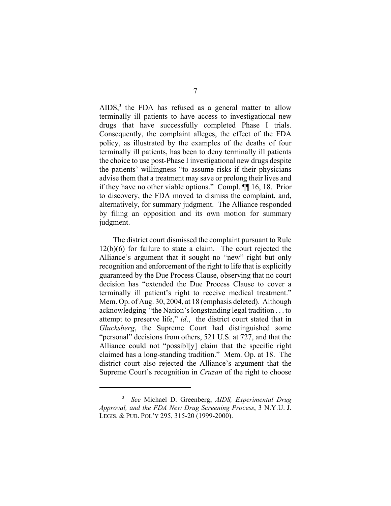$AIDS$ ,<sup>3</sup> the FDA has refused as a general matter to allow terminally ill patients to have access to investigational new drugs that have successfully completed Phase I trials. Consequently, the complaint alleges, the effect of the FDA policy, as illustrated by the examples of the deaths of four terminally ill patients, has been to deny terminally ill patients the choice to use post-Phase I investigational new drugs despite the patients' willingness "to assume risks if their physicians advise them that a treatment may save or prolong their lives and if they have no other viable options." Compl. ¶¶ 16, 18. Prior to discovery, the FDA moved to dismiss the complaint, and, alternatively, for summary judgment. The Alliance responded by filing an opposition and its own motion for summary judgment.

The district court dismissed the complaint pursuant to Rule 12(b)(6) for failure to state a claim. The court rejected the Alliance's argument that it sought no "new" right but only recognition and enforcement of the right to life that is explicitly guaranteed by the Due Process Clause, observing that no court decision has "extended the Due Process Clause to cover a terminally ill patient's right to receive medical treatment." Mem. Op. of Aug. 30, 2004, at 18 (emphasis deleted). Although acknowledging "the Nation's longstanding legal tradition . . . to attempt to preserve life," *id*., the district court stated that in *Glucksberg*, the Supreme Court had distinguished some "personal" decisions from others, 521 U.S. at 727, and that the Alliance could not "possibl[y] claim that the specific right claimed has a long-standing tradition." Mem. Op. at 18. The district court also rejected the Alliance's argument that the Supreme Court's recognition in *Cruzan* of the right to choose

<sup>3</sup> *See* Michael D. Greenberg, *AIDS, Experimental Drug Approval, and the FDA New Drug Screening Process*, 3 N.Y.U. J. LEGIS. & PUB. POL'Y 295, 315-20 (1999-2000).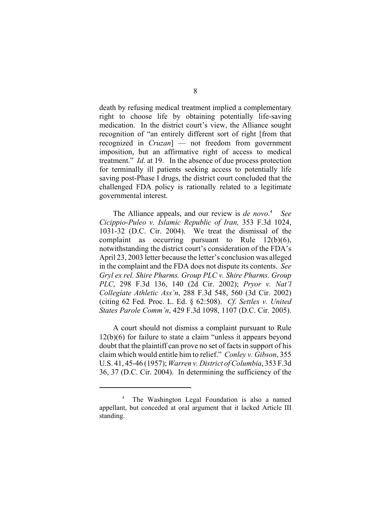death by refusing medical treatment implied a complementary right to choose life by obtaining potentially life-saving medication. In the district court's view, the Alliance sought recognition of "an entirely different sort of right [from that recognized in *Cruzan*] — not freedom from government imposition, but an affirmative right of access to medical treatment." *Id*. at 19. In the absence of due process protection for terminally ill patients seeking access to potentially life saving post-Phase I drugs, the district court concluded that the challenged FDA policy is rationally related to a legitimate governmental interest.

The Alliance appeals, and our review is *de novo*. 4 *See Cicippio-Puleo v. Islamic Republic of Iran,* 353 F.3d 1024, 1031-32 (D.C. Cir. 2004). We treat the dismissal of the complaint as occurring pursuant to Rule 12(b)(6), notwithstanding the district court's consideration of the FDA's April 23, 2003 letter because the letter's conclusion was alleged in the complaint and the FDA does not dispute its contents. *See Gryl ex rel. Shire Pharms. Group PLC v. Shire Pharms. Group PLC*, 298 F.3d 136, 140 (2d Cir. 2002); *Pryor v. Nat'l Collegiate Athletic Ass'n*, 288 F.3d 548, 560 (3d Cir. 2002) (citing 62 Fed. Proc. L. Ed. § 62:508). *Cf. Settles v. United States Parole Comm'n*, 429 F.3d 1098, 1107 (D.C. Cir. 2005).

A court should not dismiss a complaint pursuant to Rule 12(b)(6) for failure to state a claim "unless it appears beyond doubt that the plaintiff can prove no set of facts in support of his claim which would entitle him to relief." *Conley v. Gibson*, 355 U.S. 41, 45-46 (1957); *Warren v. District of Columbia*, 353 F.3d 36, 37 (D.C. Cir. 2004). In determining the sufficiency of the

<sup>&</sup>lt;sup>4</sup> The Washington Legal Foundation is also a named appellant, but conceded at oral argument that it lacked Article III standing.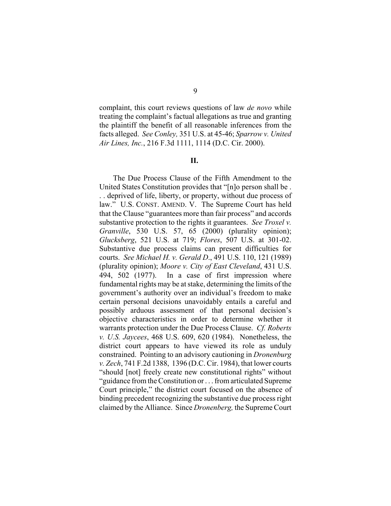complaint, this court reviews questions of law *de novo* while treating the complaint's factual allegations as true and granting the plaintiff the benefit of all reasonable inferences from the facts alleged. *See Conley,* 351 U.S. at 45-46; *Sparrow v. United Air Lines, Inc.*, 216 F.3d 1111, 1114 (D.C. Cir. 2000).

### **II.**

The Due Process Clause of the Fifth Amendment to the United States Constitution provides that "[n]o person shall be . . . deprived of life, liberty, or property, without due process of law." U.S. CONST. AMEND. V. The Supreme Court has held that the Clause "guarantees more than fair process" and accords substantive protection to the rights it guarantees. *See Troxel v. Granville*, 530 U.S. 57, 65 (2000) (plurality opinion); *Glucksberg*, 521 U.S. at 719; *Flores*, 507 U.S. at 301-02. Substantive due process claims can present difficulties for courts. *See Michael H. v. Gerald D*., 491 U.S. 110, 121 (1989) (plurality opinion); *Moore v. City of East Cleveland*, 431 U.S. 494, 502 (1977). In a case of first impression where fundamental rights may be at stake, determining the limits of the government's authority over an individual's freedom to make certain personal decisions unavoidably entails a careful and possibly arduous assessment of that personal decision's objective characteristics in order to determine whether it warrants protection under the Due Process Clause. *Cf. Roberts v. U.S. Jaycees*, 468 U.S. 609, 620 (1984). Nonetheless, the district court appears to have viewed its role as unduly constrained. Pointing to an advisory cautioning in *Dronenburg v. Zech*, 741 F.2d 1388, 1396 (D.C. Cir. 1984), that lower courts "should [not] freely create new constitutional rights" without "guidance from the Constitution or . . . from articulated Supreme Court principle," the district court focused on the absence of binding precedent recognizing the substantive due process right claimed by the Alliance. Since *Dronenberg,* the Supreme Court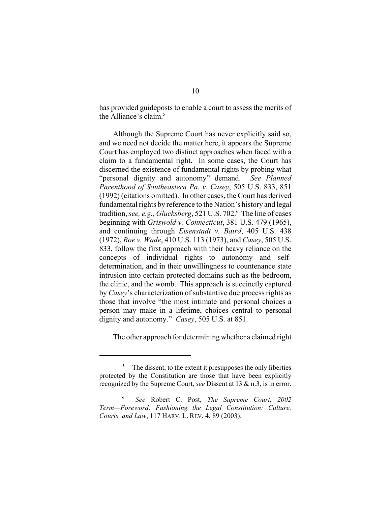has provided guideposts to enable a court to assess the merits of the Alliance's claim.<sup>5</sup>

Although the Supreme Court has never explicitly said so, and we need not decide the matter here, it appears the Supreme Court has employed two distinct approaches when faced with a claim to a fundamental right. In some cases, the Court has discerned the existence of fundamental rights by probing what "personal dignity and autonomy" demand. *See Planned Parenthood of Southeastern Pa. v. Casey*, 505 U.S. 833, 851 (1992) (citations omitted). In other cases, the Court has derived fundamental rights by reference to the Nation's history and legal tradition, see, e.g., Glucksberg, 521 U.S. 702.<sup>6</sup> The line of cases beginning with *Griswold v. Connecticut*, 381 U.S. 479 (1965), and continuing through *Eisenstadt v. Baird*, 405 U.S. 438 (1972), *Roe v. Wade*, 410 U.S. 113 (1973), and *Casey*, 505 U.S. 833, follow the first approach with their heavy reliance on the concepts of individual rights to autonomy and selfdetermination, and in their unwillingness to countenance state intrusion into certain protected domains such as the bedroom, the clinic, and the womb. This approach is succinctly captured by *Casey*'s characterization of substantive due process rights as those that involve "the most intimate and personal choices a person may make in a lifetime, choices central to personal dignity and autonomy." *Casey*, 505 U.S. at 851.

The other approach for determining whether a claimed right

<sup>5</sup> The dissent, to the extent it presupposes the only liberties protected by the Constitution are those that have been explicitly recognized by the Supreme Court, *see* Dissent at 13 & n.3, is in error.

<sup>6</sup> *See* Robert C. Post, *The Supreme Court, 2002 Term—Foreword: Fashioning the Legal Constitution: Culture, Courts, and Law*, 117 HARV. L. REV. 4, 89 (2003).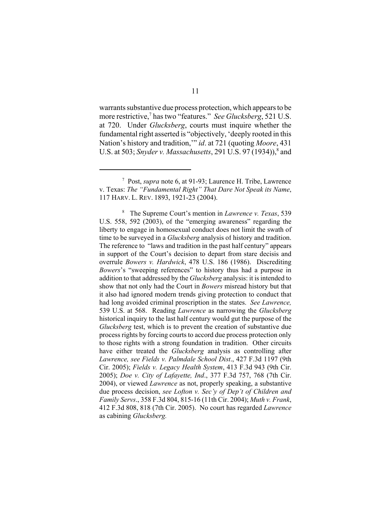warrants substantive due process protection, which appears to be more restrictive,<sup>7</sup> has two "features." *See Glucksberg*, 521 U.S. at 720. Under *Glucksberg*, courts must inquire whether the fundamental right asserted is "objectively, 'deeply rooted in this Nation's history and tradition,'" *id*. at 721 (quoting *Moore*, 431 U.S. at 503; *Snyder v. Massachusetts*, 291 U.S. 97 (1934)),<sup>8</sup> and

<sup>7</sup> Post, *supra* note 6, at 91-93; Laurence H. Tribe, Lawrence v. Texas: *The "Fundamental Right" That Dare Not Speak its Name*, 117 HARV. L. REV. 1893, 1921-23 (2004).

<sup>8</sup> The Supreme Court's mention in *Lawrence v. Texas*, 539 U.S. 558, 592 (2003), of the "emerging awareness" regarding the liberty to engage in homosexual conduct does not limit the swath of time to be surveyed in a *Glucksberg* analysis of history and tradition. The reference to "laws and tradition in the past half century" appears in support of the Court's decision to depart from stare decisis and overrule *Bowers v. Hardwick*, 478 U.S. 186 (1986). Discrediting *Bowers*'s "sweeping references" to history thus had a purpose in addition to that addressed by the *Glucksberg* analysis: it is intended to show that not only had the Court in *Bowers* misread history but that it also had ignored modern trends giving protection to conduct that had long avoided criminal proscription in the states. *See Lawrence,* 539 U.S. at 568. Reading *Lawrence* as narrowing the *Glucksberg* historical inquiry to the last half century would gut the purpose of the *Glucksberg* test, which is to prevent the creation of substantive due process rights by forcing courts to accord due process protection only to those rights with a strong foundation in tradition. Other circuits have either treated the *Glucksberg* analysis as controlling after *Lawrence, see Fields v. Palmdale School Dist*., 427 F.3d 1197 (9th Cir. 2005); *Fields v. Legacy Health System*, 413 F.3d 943 (9th Cir. 2005); *Doe v. City of Lafayette, Ind*., 377 F.3d 757, 768 (7th Cir. 2004), or viewed *Lawrence* as not, properly speaking, a substantive due process decision, *see Lofton v. Sec'y of Dep't of Children and Family Servs*., 358 F.3d 804, 815-16 (11th Cir. 2004); *Muth v. Frank*, 412 F.3d 808, 818 (7th Cir. 2005). No court has regarded *Lawrence* as cabining *Glucksberg.*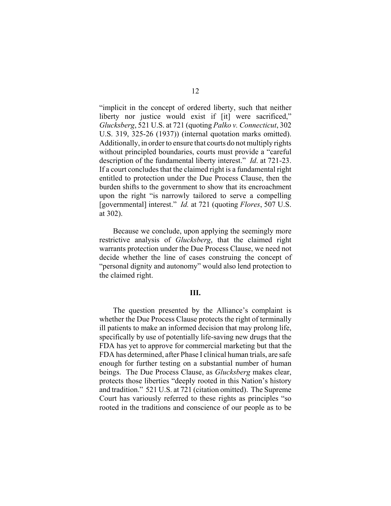"implicit in the concept of ordered liberty, such that neither liberty nor justice would exist if [it] were sacrificed," *Glucksberg*, 521 U.S. at 721 (quoting *Palko v. Connecticut*, 302 U.S. 319, 325-26 (1937)) (internal quotation marks omitted). Additionally, in order to ensure that courts do not multiply rights without principled boundaries, courts must provide a "careful description of the fundamental liberty interest." *Id*. at 721-23. If a court concludes that the claimed right is a fundamental right entitled to protection under the Due Process Clause, then the burden shifts to the government to show that its encroachment upon the right "is narrowly tailored to serve a compelling [governmental] interest." *Id.* at 721 (quoting *Flores*, 507 U.S. at 302).

Because we conclude, upon applying the seemingly more restrictive analysis of *Glucksberg*, that the claimed right warrants protection under the Due Process Clause, we need not decide whether the line of cases construing the concept of "personal dignity and autonomy" would also lend protection to the claimed right.

#### **III.**

The question presented by the Alliance's complaint is whether the Due Process Clause protects the right of terminally ill patients to make an informed decision that may prolong life, specifically by use of potentially life-saving new drugs that the FDA has yet to approve for commercial marketing but that the FDA has determined, after Phase I clinical human trials, are safe enough for further testing on a substantial number of human beings. The Due Process Clause, as *Glucksberg* makes clear, protects those liberties "deeply rooted in this Nation's history and tradition." 521 U.S. at 721 (citation omitted). The Supreme Court has variously referred to these rights as principles "so rooted in the traditions and conscience of our people as to be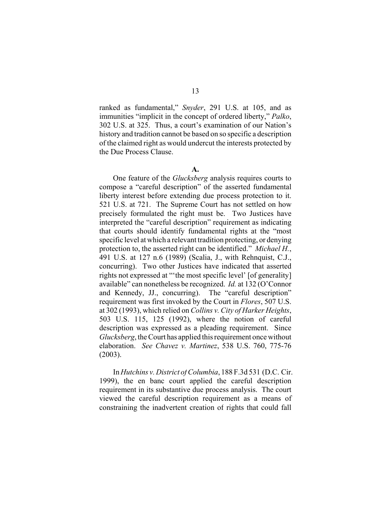ranked as fundamental," *Snyder*, 291 U.S. at 105, and as immunities "implicit in the concept of ordered liberty," *Palko*, 302 U.S. at 325. Thus, a court's examination of our Nation's history and tradition cannot be based on so specific a description of the claimed right as would undercut the interests protected by the Due Process Clause.

One feature of the *Glucksberg* analysis requires courts to compose a "careful description" of the asserted fundamental liberty interest before extending due process protection to it. 521 U.S. at 721. The Supreme Court has not settled on how precisely formulated the right must be. Two Justices have interpreted the "careful description" requirement as indicating that courts should identify fundamental rights at the "most specific level at which a relevant tradition protecting, or denying protection to, the asserted right can be identified." *Michael H.*, 491 U.S. at 127 n.6 (1989) (Scalia, J., with Rehnquist, C.J., concurring). Two other Justices have indicated that asserted rights not expressed at "'the most specific level' [of generality] available" can nonetheless be recognized. *Id.* at 132 (O'Connor and Kennedy, JJ., concurring). The "careful description" requirement was first invoked by the Court in *Flores*, 507 U.S. at 302 (1993), which relied on *Collins v. City of Harker Heights*, 503 U.S. 115, 125 (1992), where the notion of careful description was expressed as a pleading requirement. Since *Glucksberg*, the Court has applied this requirement once without elaboration. *See Chavez v. Martinez*, 538 U.S. 760, 775-76 (2003).

In *Hutchins v. District of Columbia*, 188 F.3d 531 (D.C. Cir. 1999), the en banc court applied the careful description requirement in its substantive due process analysis. The court viewed the careful description requirement as a means of constraining the inadvertent creation of rights that could fall

**A.**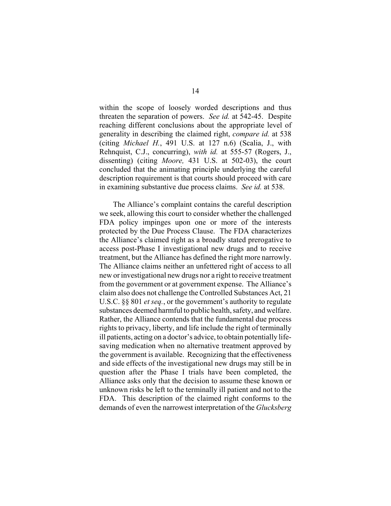within the scope of loosely worded descriptions and thus threaten the separation of powers. *See id.* at 542-45. Despite reaching different conclusions about the appropriate level of generality in describing the claimed right, *compare id.* at 538 (citing *Michael H.*, 491 U.S. at 127 n.6) (Scalia, J., with Rehnquist, C.J., concurring), *with id.* at 555-57 (Rogers, J., dissenting) (citing *Moore,* 431 U.S. at 502-03), the court concluded that the animating principle underlying the careful description requirement is that courts should proceed with care in examining substantive due process claims. *See id.* at 538.

The Alliance's complaint contains the careful description we seek, allowing this court to consider whether the challenged FDA policy impinges upon one or more of the interests protected by the Due Process Clause. The FDA characterizes the Alliance's claimed right as a broadly stated prerogative to access post-Phase I investigational new drugs and to receive treatment, but the Alliance has defined the right more narrowly. The Alliance claims neither an unfettered right of access to all new or investigational new drugs nor a right to receive treatment from the government or at government expense. The Alliance's claim also does not challenge the Controlled Substances Act, 21 U.S.C. §§ 801 *et seq.*, or the government's authority to regulate substances deemed harmful to public health, safety, and welfare. Rather, the Alliance contends that the fundamental due process rights to privacy, liberty, and life include the right of terminally ill patients, acting on a doctor's advice, to obtain potentially lifesaving medication when no alternative treatment approved by the government is available. Recognizing that the effectiveness and side effects of the investigational new drugs may still be in question after the Phase I trials have been completed, the Alliance asks only that the decision to assume these known or unknown risks be left to the terminally ill patient and not to the FDA. This description of the claimed right conforms to the demands of even the narrowest interpretation of the *Glucksberg*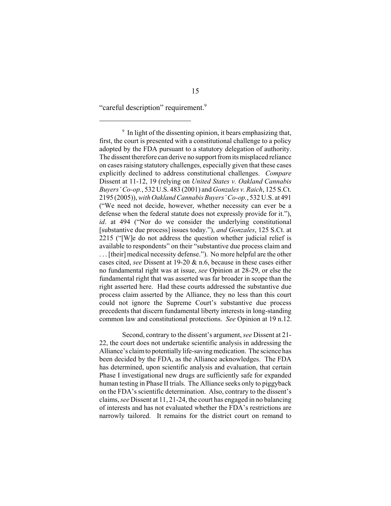"careful description" requirement.<sup>9</sup>

<sup>9</sup> In light of the dissenting opinion, it bears emphasizing that, first, the court is presented with a constitutional challenge to a policy adopted by the FDA pursuant to a statutory delegation of authority. The dissent therefore can derive no support from its misplaced reliance on cases raising statutory challenges, especially given that these cases explicitly declined to address constitutional challenges. *Compare* Dissent at 11-12, 19 (relying on *United States v. Oakland Cannabis Buyers' Co-op.*, 532 U.S. 483 (2001) and *Gonzales v. Raich*, 125 S.Ct. 2195 (2005)), *with Oakland Cannabis Buyers' Co-op.*, 532 U.S. at 491 ("We need not decide, however, whether necessity can ever be a defense when the federal statute does not expressly provide for it."), *id*. at 494 ("Nor do we consider the underlying constitutional [substantive due process] issues today."), *and Gonzales*, 125 S.Ct. at 2215 ("[W]e do not address the question whether judicial relief is available to respondents" on their "substantive due process claim and . . . [their] medical necessity defense."). No more helpful are the other cases cited, *see* Dissent at 19-20 & n.6, because in these cases either no fundamental right was at issue, *see* Opinion at 28-29, or else the fundamental right that was asserted was far broader in scope than the right asserted here. Had these courts addressed the substantive due process claim asserted by the Alliance, they no less than this court could not ignore the Supreme Court's substantive due process precedents that discern fundamental liberty interests in long-standing common law and constitutional protections. *See* Opinion at 19 n.12.

Second, contrary to the dissent's argument, *see* Dissent at 21- 22, the court does not undertake scientific analysis in addressing the Alliance's claim to potentially life-saving medication. The science has been decided by the FDA, as the Alliance acknowledges. The FDA has determined, upon scientific analysis and evaluation, that certain Phase I investigational new drugs are sufficiently safe for expanded human testing in Phase II trials. The Alliance seeks only to piggyback on the FDA's scientific determination. Also, contrary to the dissent's claims, *see* Dissent at 11, 21-24, the court has engaged in no balancing of interests and has not evaluated whether the FDA's restrictions are narrowly tailored. It remains for the district court on remand to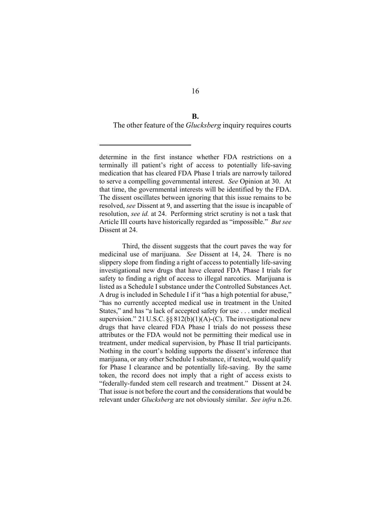**B.**

The other feature of the *Glucksberg* inquiry requires courts

determine in the first instance whether FDA restrictions on a terminally ill patient's right of access to potentially life-saving medication that has cleared FDA Phase I trials are narrowly tailored to serve a compelling governmental interest. *See* Opinion at 30. At that time, the governmental interests will be identified by the FDA. The dissent oscillates between ignoring that this issue remains to be resolved, *see* Dissent at 9, and asserting that the issue is incapable of resolution, *see id.* at 24. Performing strict scrutiny is not a task that Article III courts have historically regarded as "impossible." *But see* Dissent at 24.

Third, the dissent suggests that the court paves the way for medicinal use of marijuana. *See* Dissent at 14, 24. There is no slippery slope from finding a right of access to potentially life-saving investigational new drugs that have cleared FDA Phase I trials for safety to finding a right of access to illegal narcotics. Marijuana is listed as a Schedule I substance under the Controlled Substances Act. A drug is included in Schedule I if it "has a high potential for abuse," "has no currently accepted medical use in treatment in the United States," and has "a lack of accepted safety for use . . . under medical supervision." 21 U.S.C.  $\S$ § 812(b)(1)(A)-(C). The investigational new drugs that have cleared FDA Phase I trials do not possess these attributes or the FDA would not be permitting their medical use in treatment, under medical supervision, by Phase II trial participants. Nothing in the court's holding supports the dissent's inference that marijuana, or any other Schedule I substance, if tested, would qualify for Phase I clearance and be potentially life-saving. By the same token, the record does not imply that a right of access exists to "federally-funded stem cell research and treatment." Dissent at 24. That issue is not before the court and the considerations that would be relevant under *Glucksberg* are not obviously similar. *See infra* n.26.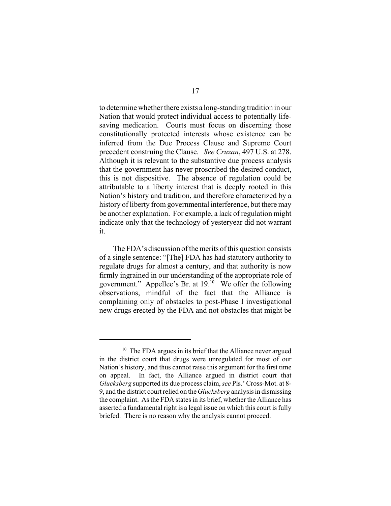to determine whether there exists a long-standing tradition in our Nation that would protect individual access to potentially lifesaving medication. Courts must focus on discerning those constitutionally protected interests whose existence can be inferred from the Due Process Clause and Supreme Court precedent construing the Clause. *See Cruzan*, 497 U.S. at 278. Although it is relevant to the substantive due process analysis that the government has never proscribed the desired conduct, this is not dispositive. The absence of regulation could be attributable to a liberty interest that is deeply rooted in this Nation's history and tradition, and therefore characterized by a history of liberty from governmental interference, but there may be another explanation. For example, a lack of regulation might indicate only that the technology of yesteryear did not warrant it.

The FDA's discussion of the merits of this question consists of a single sentence: "[The] FDA has had statutory authority to regulate drugs for almost a century, and that authority is now firmly ingrained in our understanding of the appropriate role of government." Appellee's Br. at  $19.10$  We offer the following observations, mindful of the fact that the Alliance is complaining only of obstacles to post-Phase I investigational new drugs erected by the FDA and not obstacles that might be

<sup>&</sup>lt;sup>10</sup> The FDA argues in its brief that the Alliance never argued in the district court that drugs were unregulated for most of our Nation's history, and thus cannot raise this argument for the first time on appeal. In fact, the Alliance argued in district court that *Glucksberg* supported its due process claim, *see* Pls.' Cross-Mot. at 8- 9, and the district court relied on the *Glucksberg* analysis in dismissing the complaint. As the FDA states in its brief, whether the Alliance has asserted a fundamental right is a legal issue on which this court is fully briefed. There is no reason why the analysis cannot proceed.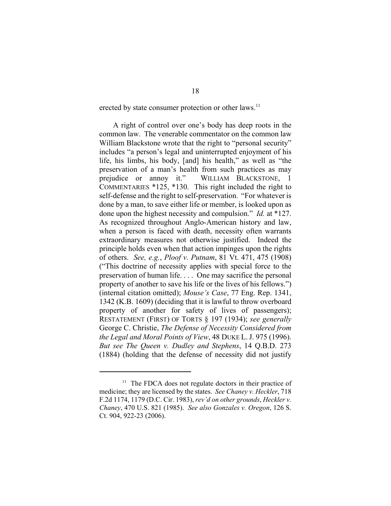erected by state consumer protection or other laws.<sup>11</sup>

A right of control over one's body has deep roots in the common law. The venerable commentator on the common law William Blackstone wrote that the right to "personal security" includes "a person's legal and uninterrupted enjoyment of his life, his limbs, his body, [and] his health," as well as "the preservation of a man's health from such practices as may prejudice or annoy it." WILLIAM BLACKSTONE, 1 COMMENTARIES \*125, \*130. This right included the right to self-defense and the right to self-preservation. "For whatever is done by a man, to save either life or member, is looked upon as done upon the highest necessity and compulsion." *Id.* at \*127. As recognized throughout Anglo-American history and law, when a person is faced with death, necessity often warrants extraordinary measures not otherwise justified. Indeed the principle holds even when that action impinges upon the rights of others. *See, e.g.*, *Ploof v. Putnam*, 81 Vt. 471, 475 (1908) ("This doctrine of necessity applies with special force to the preservation of human life. . . . One may sacrifice the personal property of another to save his life or the lives of his fellows.") (internal citation omitted); *Mouse's Case*, 77 Eng. Rep. 1341, 1342 (K.B. 1609) (deciding that it is lawful to throw overboard property of another for safety of lives of passengers); RESTATEMENT (FIRST) OF TORTS § 197 (1934); *see generally* George C. Christie, *The Defense of Necessity Considered from the Legal and Moral Points of View*, 48 DUKE L.J. 975 (1996). *But see The Queen v. Dudley and Stephens*, 14 Q.B.D. 273 (1884) (holding that the defense of necessity did not justify

<sup>&</sup>lt;sup>11</sup> The FDCA does not regulate doctors in their practice of medicine; they are licensed by the states. *See Chaney v. Heckler*, 718 F.2d 1174, 1179 (D.C. Cir. 1983), *rev'd on other grounds*, *Heckler v. Chaney*, 470 U.S. 821 (1985). *See also Gonzales v. Oregon*, 126 S. Ct. 904, 922-23 (2006).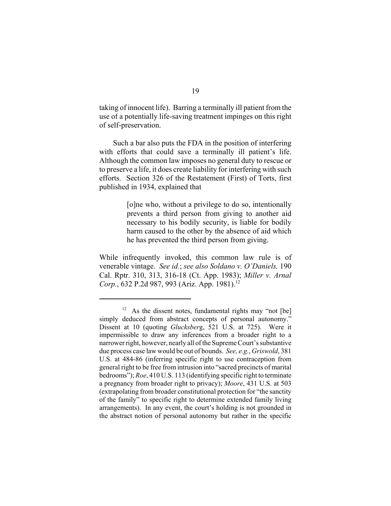taking of innocent life). Barring a terminally ill patient from the use of a potentially life-saving treatment impinges on this right of self-preservation.

Such a bar also puts the FDA in the position of interfering with efforts that could save a terminally ill patient's life. Although the common law imposes no general duty to rescue or to preserve a life, it does create liability for interfering with such efforts. Section 326 of the Restatement (First) of Torts, first published in 1934, explained that

> [o]ne who, without a privilege to do so, intentionally prevents a third person from giving to another aid necessary to his bodily security, is liable for bodily harm caused to the other by the absence of aid which he has prevented the third person from giving.

While infrequently invoked, this common law rule is of venerable vintage. *See id.*; *see also Soldano v. O'Daniels,* 190 Cal. Rptr. 310, 313, 316-18 (Ct. App. 1983); *Miller v. Arnal Corp.*, 632 P.2d 987, 993 (Ariz. App. 1981).<sup>12</sup>

 $12$  As the dissent notes, fundamental rights may "not [be] simply deduced from abstract concepts of personal autonomy." Dissent at 10 (quoting *Glucksber*g, 521 U.S. at 725). Were it impermissible to draw any inferences from a broader right to a narrower right, however, nearly all of the Supreme Court's substantive due process case law would be out of bounds. *See, e.g.*, *Griswold*, 381 U.S. at 484-86 (inferring specific right to use contraception from general right to be free from intrusion into "sacred precincts of marital bedrooms"); *Roe*, 410 U.S. 113 (identifying specific right to terminate a pregnancy from broader right to privacy); *Moore*, 431 U.S. at 503 (extrapolating from broader constitutional protection for "the sanctity of the family" to specific right to determine extended family living arrangements). In any event, the court's holding is not grounded in the abstract notion of personal autonomy but rather in the specific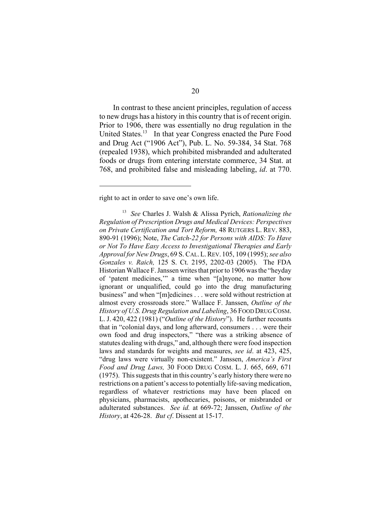In contrast to these ancient principles, regulation of access to new drugs has a history in this country that is of recent origin. Prior to 1906, there was essentially no drug regulation in the United States.13 In that year Congress enacted the Pure Food and Drug Act ("1906 Act"), Pub. L. No. 59-384, 34 Stat. 768 (repealed 1938), which prohibited misbranded and adulterated foods or drugs from entering interstate commerce, 34 Stat. at 768, and prohibited false and misleading labeling, *id*. at 770.

right to act in order to save one's own life.

<sup>13</sup> *See* Charles J. Walsh & Alissa Pyrich, *Rationalizing the Regulation of Prescription Drugs and Medical Devices: Perspectives on Private Certification and Tort Reform,* 48 RUTGERS L. REV. 883, 890-91 (1996); Note, *The Catch-22 for Persons with AIDS: To Have or Not To Have Easy Access to Investigational Therapies and Early Approval for New Drugs*, 69 S. CAL.L.REV. 105, 109 (1995); *see also Gonzales v. Raich,* 125 S. Ct. 2195, 2202-03 (2005). The FDA Historian Wallace F. Janssen writes that prior to 1906 was the "heyday of 'patent medicines,'" a time when "[a]nyone, no matter how ignorant or unqualified, could go into the drug manufacturing business" and when "[m]edicines . . . were sold without restriction at almost every crossroads store." Wallace F. Janssen, *Outline of the History of U.S. Drug Regulation and Labeling*, 36 FOOD DRUG COSM. L. J. 420, 422 (1981) ("*Outline of the History*"). He further recounts that in "colonial days, and long afterward, consumers . . . were their own food and drug inspectors," "there was a striking absence of statutes dealing with drugs," and, although there were food inspection laws and standards for weights and measures, *see id*. at 423, 425, "drug laws were virtually non-existent." Janssen, *America's First Food and Drug Laws,* 30 FOOD DRUG COSM. L. J. 665, 669, 671 (1975). This suggests that in this country's early history there were no restrictions on a patient's access to potentially life-saving medication, regardless of whatever restrictions may have been placed on physicians, pharmacists, apothecaries, poisons, or misbranded or adulterated substances. *See id.* at 669-72; Janssen, *Outline of the History*, at 426-28. *But cf*. Dissent at 15-17.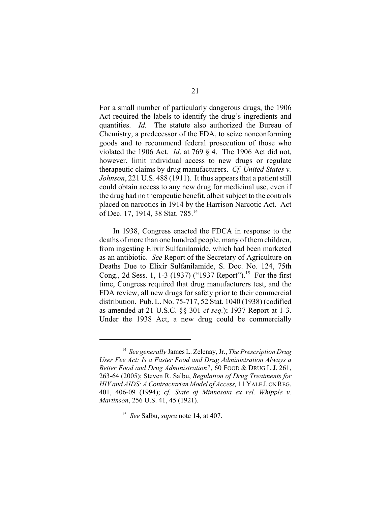For a small number of particularly dangerous drugs, the 1906 Act required the labels to identify the drug's ingredients and quantities. *Id.* The statute also authorized the Bureau of Chemistry, a predecessor of the FDA, to seize nonconforming goods and to recommend federal prosecution of those who violated the 1906 Act. *Id*. at 769 § 4. The 1906 Act did not, however, limit individual access to new drugs or regulate therapeutic claims by drug manufacturers. *Cf. United States v. Johnson*, 221 U.S. 488 (1911). It thus appears that a patient still could obtain access to any new drug for medicinal use, even if the drug had no therapeutic benefit, albeit subject to the controls placed on narcotics in 1914 by the Harrison Narcotic Act. Act of Dec. 17, 1914, 38 Stat. 785.<sup>14</sup>

In 1938, Congress enacted the FDCA in response to the deaths of more than one hundred people, many of them children, from ingesting Elixir Sulfanilamide, which had been marketed as an antibiotic. *See* Report of the Secretary of Agriculture on Deaths Due to Elixir Sulfanilamide, S. Doc. No. 124, 75th Cong., 2d Sess. 1, 1-3 (1937) ("1937 Report").<sup>15</sup> For the first time, Congress required that drug manufacturers test, and the FDA review, all new drugs for safety prior to their commercial distribution. Pub. L. No. 75-717, 52 Stat. 1040 (1938) (codified as amended at 21 U.S.C. §§ 301 *et seq.*); 1937 Report at 1-3. Under the 1938 Act, a new drug could be commercially

<sup>14</sup> *See generally* James L. Zelenay, Jr., *The Prescription Drug User Fee Act: Is a Faster Food and Drug Administration Always a Better Food and Drug Administration?*, 60 FOOD & DRUG L.J. 261, 263-64 (2005); Steven R. Salbu, *Regulation of Drug Treatments for HIV and AIDS: A Contractarian Model of Access,* 11 YALE J. ON REG. 401, 406-09 (1994); *cf. State of Minnesota ex rel. Whipple v. Martinson*, 256 U.S. 41, 45 (1921).

<sup>15</sup> *See* Salbu, *supra* note 14, at 407.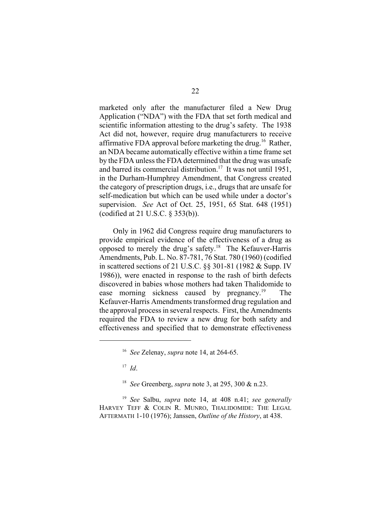marketed only after the manufacturer filed a New Drug Application ("NDA") with the FDA that set forth medical and scientific information attesting to the drug's safety. The 1938 Act did not, however, require drug manufacturers to receive affirmative FDA approval before marketing the drug.<sup>16</sup> Rather, an NDA became automatically effective within a time frame set by the FDA unless the FDA determined that the drug was unsafe and barred its commercial distribution.17 It was not until 1951, in the Durham-Humphrey Amendment, that Congress created the category of prescription drugs, i.e., drugs that are unsafe for self-medication but which can be used while under a doctor's supervision. *See* Act of Oct. 25, 1951, 65 Stat. 648 (1951) (codified at 21 U.S.C. § 353(b)).

Only in 1962 did Congress require drug manufacturers to provide empirical evidence of the effectiveness of a drug as opposed to merely the drug's safety.18 The Kefauver-Harris Amendments, Pub. L. No. 87-781, 76 Stat. 780 (1960) (codified in scattered sections of 21 U.S.C. §§ 301-81 (1982 & Supp. IV 1986)), were enacted in response to the rash of birth defects discovered in babies whose mothers had taken Thalidomide to ease morning sickness caused by pregnancy.<sup>19</sup> The Kefauver-Harris Amendments transformed drug regulation and the approval process in several respects. First, the Amendments required the FDA to review a new drug for both safety and effectiveness and specified that to demonstrate effectiveness

<sup>19</sup> *See* Salbu, *supra* note 14, at 408 n.41; *see generally* HARVEY TEFF & COLIN R. MUNRO, THALIDOMIDE: THE LEGAL AFTERMATH 1-10 (1976); Janssen, *Outline of the History*, at 438.

<sup>16</sup> *See* Zelenay, *supra* note 14, at 264-65.

<sup>17</sup> *Id*.

<sup>18</sup> *See* Greenberg, *supra* note 3, at 295, 300 & n.23.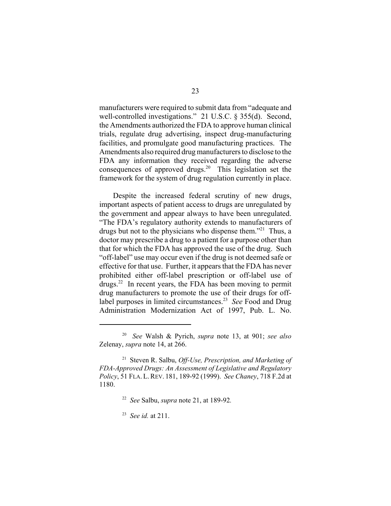manufacturers were required to submit data from "adequate and well-controlled investigations." 21 U.S.C. § 355(d). Second, the Amendments authorized the FDA to approve human clinical trials, regulate drug advertising, inspect drug-manufacturing facilities, and promulgate good manufacturing practices. The Amendments also required drug manufacturers to disclose to the FDA any information they received regarding the adverse consequences of approved drugs.<sup>20</sup> This legislation set the framework for the system of drug regulation currently in place.

Despite the increased federal scrutiny of new drugs, important aspects of patient access to drugs are unregulated by the government and appear always to have been unregulated. "The FDA's regulatory authority extends to manufacturers of drugs but not to the physicians who dispense them.<sup>"21</sup> Thus, a doctor may prescribe a drug to a patient for a purpose other than that for which the FDA has approved the use of the drug. Such "off-label" use may occur even if the drug is not deemed safe or effective for that use. Further, it appears that the FDA has never prohibited either off-label prescription or off-label use of drugs.<sup>22</sup> In recent years, the FDA has been moving to permit drug manufacturers to promote the use of their drugs for offlabel purposes in limited circumstances.<sup>23</sup> *See* Food and Drug Administration Modernization Act of 1997, Pub. L. No.

<sup>20</sup> *See* Walsh & Pyrich, *supra* note 13, at 901; *see also* Zelenay, *supra* note 14, at 266.

<sup>21</sup> Steven R. Salbu, *Off-Use, Prescription, and Marketing of FDA-Approved Drugs: An Assessment of Legislative and Regulatory Policy*, 51 FLA. L.REV. 181, 189-92 (1999). *See Chaney*, 718 F.2d at 1180.

<sup>22</sup> *See* Salbu, *supra* note 21, at 189-92*.*

<sup>23</sup> *See id.* at 211.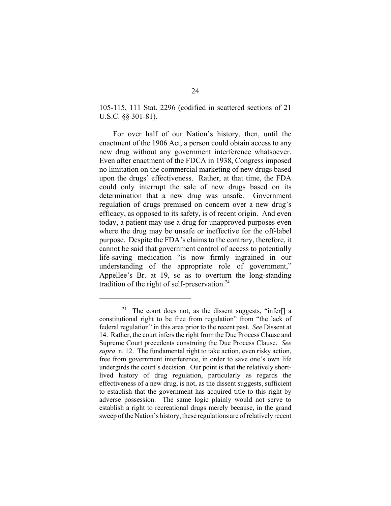105-115, 111 Stat. 2296 (codified in scattered sections of 21 U.S.C. §§ 301-81).

For over half of our Nation's history, then, until the enactment of the 1906 Act, a person could obtain access to any new drug without any government interference whatsoever. Even after enactment of the FDCA in 1938, Congress imposed no limitation on the commercial marketing of new drugs based upon the drugs' effectiveness. Rather, at that time, the FDA could only interrupt the sale of new drugs based on its determination that a new drug was unsafe. Government regulation of drugs premised on concern over a new drug's efficacy, as opposed to its safety, is of recent origin. And even today, a patient may use a drug for unapproved purposes even where the drug may be unsafe or ineffective for the off-label purpose. Despite the FDA's claims to the contrary, therefore, it cannot be said that government control of access to potentially life-saving medication "is now firmly ingrained in our understanding of the appropriate role of government," Appellee's Br. at 19, so as to overturn the long-standing tradition of the right of self-preservation. $^{24}$ 

<sup>&</sup>lt;sup>24</sup> The court does not, as the dissent suggests, "infer<sup>[]</sup> a constitutional right to be free from regulation" from "the lack of federal regulation" in this area prior to the recent past. *See* Dissent at 14. Rather, the court infers the right from the Due Process Clause and Supreme Court precedents construing the Due Process Clause. *See supra* n. 12. The fundamental right to take action, even risky action, free from government interference, in order to save one's own life undergirds the court's decision. Our point is that the relatively shortlived history of drug regulation, particularly as regards the effectiveness of a new drug, is not, as the dissent suggests, sufficient to establish that the government has acquired title to this right by adverse possession. The same logic plainly would not serve to establish a right to recreational drugs merely because, in the grand sweep of the Nation's history, these regulations are of relatively recent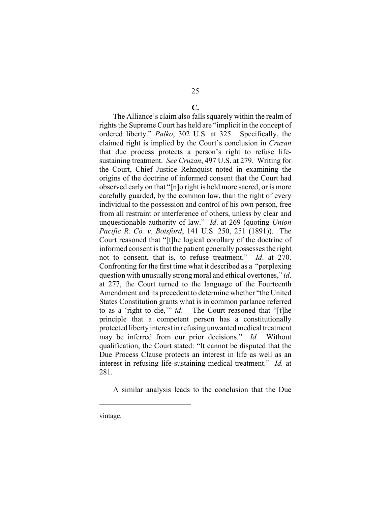**C.**

The Alliance's claim also falls squarely within the realm of rights the Supreme Court has held are "implicit in the concept of ordered liberty." *Palko*, 302 U.S. at 325. Specifically, the claimed right is implied by the Court's conclusion in *Cruzan* that due process protects a person's right to refuse lifesustaining treatment. *See Cruzan*, 497 U.S. at 279. Writing for the Court, Chief Justice Rehnquist noted in examining the origins of the doctrine of informed consent that the Court had observed early on that "[n]o right is held more sacred, or is more carefully guarded, by the common law, than the right of every individual to the possession and control of his own person, free from all restraint or interference of others, unless by clear and unquestionable authority of law." *Id*. at 269 (quoting *Union Pacific R. Co. v. Botsford*, 141 U.S. 250, 251 (1891)). The Court reasoned that "[t]he logical corollary of the doctrine of informed consent is that the patient generally possesses the right not to consent, that is, to refuse treatment." *Id*. at 270. Confronting for the first time what it described as a "perplexing question with unusually strong moral and ethical overtones," *id*. at 277, the Court turned to the language of the Fourteenth Amendment and its precedent to determine whether "the United States Constitution grants what is in common parlance referred to as a 'right to die,'" *id*. The Court reasoned that "[t]he principle that a competent person has a constitutionally protected liberty interest in refusing unwanted medical treatment may be inferred from our prior decisions." *Id.* Without qualification, the Court stated: "It cannot be disputed that the Due Process Clause protects an interest in life as well as an interest in refusing life-sustaining medical treatment." *Id.* at 281.

A similar analysis leads to the conclusion that the Due

vintage.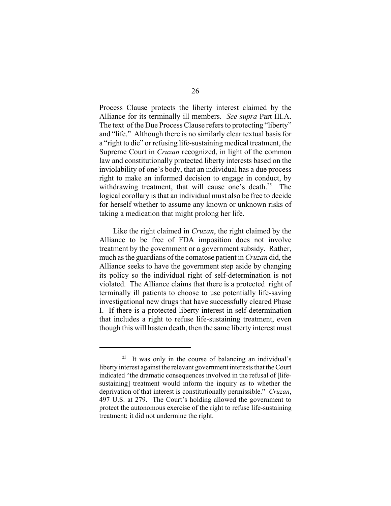Process Clause protects the liberty interest claimed by the Alliance for its terminally ill members. *See supra* Part III.A. The text of the Due Process Clause refers to protecting "liberty" and "life." Although there is no similarly clear textual basis for a "right to die" or refusing life-sustaining medical treatment, the Supreme Court in *Cruzan* recognized, in light of the common law and constitutionally protected liberty interests based on the inviolability of one's body, that an individual has a due process right to make an informed decision to engage in conduct, by withdrawing treatment, that will cause one's death.<sup>25</sup> The logical corollary is that an individual must also be free to decide for herself whether to assume any known or unknown risks of taking a medication that might prolong her life.

Like the right claimed in *Cruzan*, the right claimed by the Alliance to be free of FDA imposition does not involve treatment by the government or a government subsidy. Rather, much as the guardians of the comatose patient in *Cruzan* did, the Alliance seeks to have the government step aside by changing its policy so the individual right of self-determination is not violated. The Alliance claims that there is a protected right of terminally ill patients to choose to use potentially life-saving investigational new drugs that have successfully cleared Phase I. If there is a protected liberty interest in self-determination that includes a right to refuse life-sustaining treatment, even though this will hasten death, then the same liberty interest must

 $25$  It was only in the course of balancing an individual's liberty interest against the relevant government interests that the Court indicated "the dramatic consequences involved in the refusal of [lifesustaining] treatment would inform the inquiry as to whether the deprivation of that interest is constitutionally permissible." *Cruzan*, 497 U.S. at 279. The Court's holding allowed the government to protect the autonomous exercise of the right to refuse life-sustaining treatment; it did not undermine the right.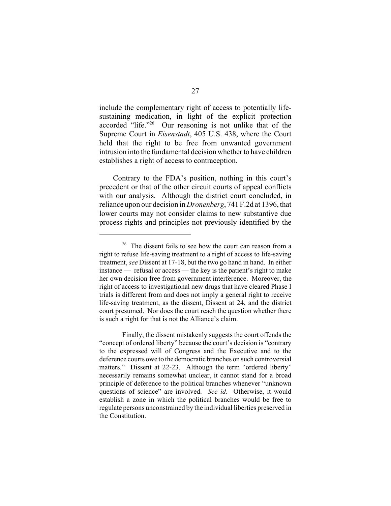include the complementary right of access to potentially lifesustaining medication, in light of the explicit protection accorded "life."26 Our reasoning is not unlike that of the Supreme Court in *Eisenstadt*, 405 U.S. 438, where the Court held that the right to be free from unwanted government intrusion into the fundamental decision whether to have children establishes a right of access to contraception.

Contrary to the FDA's position, nothing in this court's precedent or that of the other circuit courts of appeal conflicts with our analysis. Although the district court concluded, in reliance upon our decision in *Dronenberg*, 741 F.2d at 1396, that lower courts may not consider claims to new substantive due process rights and principles not previously identified by the

<sup>&</sup>lt;sup>26</sup> The dissent fails to see how the court can reason from a right to refuse life-saving treatment to a right of access to life-saving treatment, *see* Dissent at 17-18, but the two go hand in hand. In either instance — refusal or access — the key is the patient's right to make her own decision free from government interference. Moreover, the right of access to investigational new drugs that have cleared Phase I trials is different from and does not imply a general right to receive life-saving treatment, as the dissent, Dissent at 24, and the district court presumed. Nor does the court reach the question whether there is such a right for that is not the Alliance's claim.

Finally, the dissent mistakenly suggests the court offends the "concept of ordered liberty" because the court's decision is "contrary to the expressed will of Congress and the Executive and to the deference courts owe to the democratic branches on such controversial matters." Dissent at 22-23. Although the term "ordered liberty" necessarily remains somewhat unclear, it cannot stand for a broad principle of deference to the political branches whenever "unknown questions of science" are involved. *See id*. Otherwise, it would establish a zone in which the political branches would be free to regulate persons unconstrained by the individual liberties preserved in the Constitution.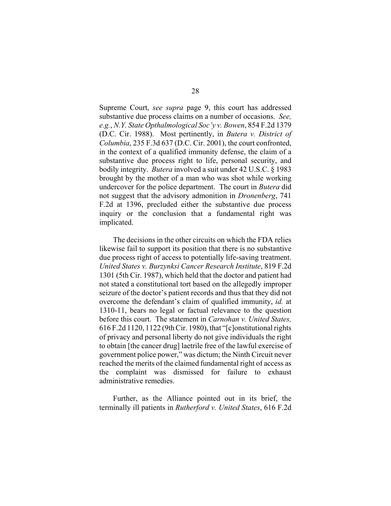Supreme Court, *see supra* page 9, this court has addressed substantive due process claims on a number of occasions. *See, e.g.*, *N.Y. State Opthalmological Soc'y v. Bowen*, 854 F.2d 1379 (D.C. Cir. 1988). Most pertinently, in *Butera v. District of Columbia*, 235 F.3d 637 (D.C. Cir. 2001), the court confronted, in the context of a qualified immunity defense, the claim of a substantive due process right to life, personal security, and bodily integrity. *Butera* involved a suit under 42 U.S.C. § 1983 brought by the mother of a man who was shot while working undercover for the police department. The court in *Butera* did not suggest that the advisory admonition in *Dronenberg*, 741 F.2d at 1396, precluded either the substantive due process inquiry or the conclusion that a fundamental right was implicated.

The decisions in the other circuits on which the FDA relies likewise fail to support its position that there is no substantive due process right of access to potentially life-saving treatment. *United States v. Burzynksi Cancer Research Institute*, 819 F.2d 1301 (5th Cir. 1987), which held that the doctor and patient had not stated a constitutional tort based on the allegedly improper seizure of the doctor's patient records and thus that they did not overcome the defendant's claim of qualified immunity, *id.* at 1310-11, bears no legal or factual relevance to the question before this court. The statement in *Carnohan v. United States,* 616 F.2d 1120, 1122 (9thCir. 1980), that "[c]onstitutional rights of privacy and personal liberty do not give individuals the right to obtain [the cancer drug] laetrile free of the lawful exercise of government police power," was dictum; the Ninth Circuit never reached the merits of the claimed fundamental right of access as the complaint was dismissed for failure to exhaust administrative remedies.

Further, as the Alliance pointed out in its brief, the terminally ill patients in *Rutherford v. United States*, 616 F.2d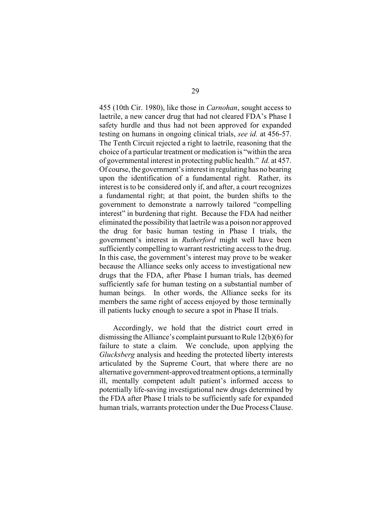455 (10th Cir. 1980), like those in *Carnohan*, sought access to laetrile, a new cancer drug that had not cleared FDA's Phase I safety hurdle and thus had not been approved for expanded testing on humans in ongoing clinical trials, *see id.* at 456-57. The Tenth Circuit rejected a right to laetrile, reasoning that the choice of a particular treatment or medication is "within the area of governmental interest in protecting public health." *Id.* at 457. Of course, the government's interest in regulating has no bearing upon the identification of a fundamental right. Rather, its interest is to be considered only if, and after, a court recognizes a fundamental right; at that point, the burden shifts to the government to demonstrate a narrowly tailored "compelling interest" in burdening that right. Because the FDA had neither eliminated the possibility that laetrile was a poison nor approved the drug for basic human testing in Phase I trials, the government's interest in *Rutherford* might well have been sufficiently compelling to warrant restricting access to the drug. In this case, the government's interest may prove to be weaker because the Alliance seeks only access to investigational new drugs that the FDA, after Phase I human trials, has deemed sufficiently safe for human testing on a substantial number of human beings. In other words, the Alliance seeks for its members the same right of access enjoyed by those terminally ill patients lucky enough to secure a spot in Phase II trials.

Accordingly, we hold that the district court erred in dismissing the Alliance's complaint pursuant to Rule 12(b)(6) for failure to state a claim. We conclude, upon applying the *Glucksberg* analysis and heeding the protected liberty interests articulated by the Supreme Court, that where there are no alternative government-approved treatment options, a terminally ill, mentally competent adult patient's informed access to potentially life-saving investigational new drugs determined by the FDA after Phase I trials to be sufficiently safe for expanded human trials, warrants protection under the Due Process Clause.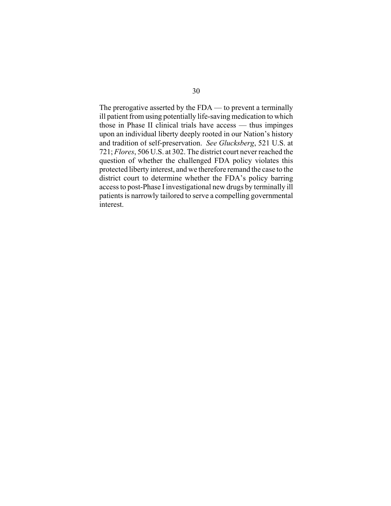The prerogative asserted by the FDA — to prevent a terminally ill patient from using potentially life-saving medication to which those in Phase II clinical trials have access — thus impinges upon an individual liberty deeply rooted in our Nation's history and tradition of self-preservation. *See Glucksberg*, 521 U.S. at 721; *Flores*, 506 U.S. at 302. The district court never reached the question of whether the challenged FDA policy violates this protected liberty interest, and we therefore remand the case to the district court to determine whether the FDA's policy barring access to post-Phase I investigational new drugs by terminally ill patients is narrowly tailored to serve a compelling governmental interest.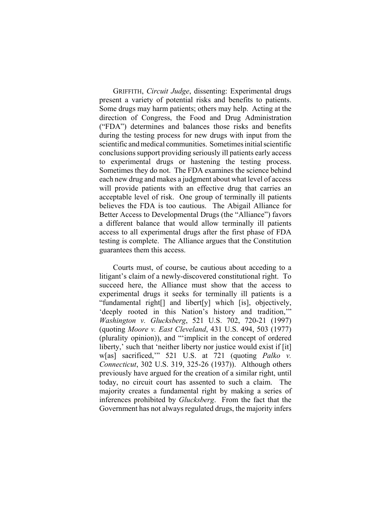GRIFFITH, *Circuit Judge*, dissenting: Experimental drugs present a variety of potential risks and benefits to patients. Some drugs may harm patients; others may help. Acting at the direction of Congress, the Food and Drug Administration ("FDA") determines and balances those risks and benefits during the testing process for new drugs with input from the scientific and medical communities. Sometimes initial scientific conclusions support providing seriously ill patients early access to experimental drugs or hastening the testing process. Sometimes they do not. The FDA examines the science behind each new drug and makes a judgment about what level of access will provide patients with an effective drug that carries an acceptable level of risk. One group of terminally ill patients believes the FDA is too cautious. The Abigail Alliance for Better Access to Developmental Drugs (the "Alliance") favors a different balance that would allow terminally ill patients access to all experimental drugs after the first phase of FDA testing is complete. The Alliance argues that the Constitution guarantees them this access.

Courts must, of course, be cautious about acceding to a litigant's claim of a newly-discovered constitutional right. To succeed here, the Alliance must show that the access to experimental drugs it seeks for terminally ill patients is a "fundamental right[] and libert[y] which [is], objectively, 'deeply rooted in this Nation's history and tradition,'" *Washington v. Glucksberg*, 521 U.S. 702, 720-21 (1997) (quoting *Moore v. East Cleveland*, 431 U.S. 494, 503 (1977) (plurality opinion)), and "'implicit in the concept of ordered liberty,' such that 'neither liberty nor justice would exist if [it] w[as] sacrificed,'" 521 U.S. at 721 (quoting *Palko v. Connecticut*, 302 U.S. 319, 325-26 (1937)). Although others previously have argued for the creation of a similar right, until today, no circuit court has assented to such a claim. The majority creates a fundamental right by making a series of inferences prohibited by *Glucksberg*. From the fact that the Government has not always regulated drugs, the majority infers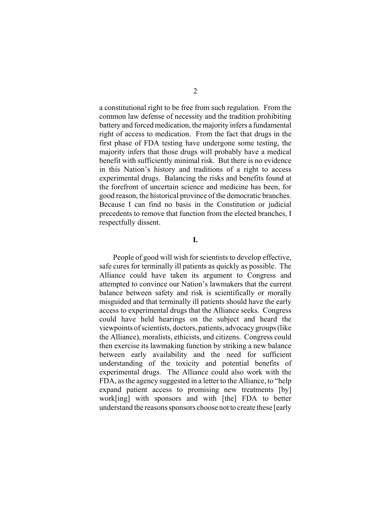a constitutional right to be free from such regulation. From the common law defense of necessity and the tradition prohibiting battery and forced medication, the majority infers a fundamental right of access to medication. From the fact that drugs in the first phase of FDA testing have undergone some testing, the majority infers that those drugs will probably have a medical benefit with sufficiently minimal risk. But there is no evidence in this Nation's history and traditions of a right to access experimental drugs. Balancing the risks and benefits found at the forefront of uncertain science and medicine has been, for good reason, the historical province of the democratic branches. Because I can find no basis in the Constitution or judicial precedents to remove that function from the elected branches, I respectfully dissent.

**I.**

People of good will wish for scientists to develop effective, safe cures for terminally ill patients as quickly as possible. The Alliance could have taken its argument to Congress and attempted to convince our Nation's lawmakers that the current balance between safety and risk is scientifically or morally misguided and that terminally ill patients should have the early access to experimental drugs that the Alliance seeks. Congress could have held hearings on the subject and heard the viewpoints of scientists, doctors, patients, advocacy groups (like the Alliance), moralists, ethicists, and citizens. Congress could then exercise its lawmaking function by striking a new balance between early availability and the need for sufficient understanding of the toxicity and potential benefits of experimental drugs. The Alliance could also work with the FDA, as the agency suggested in a letter to the Alliance, to "help expand patient access to promising new treatments [by] work[ing] with sponsors and with [the] FDA to better understand the reasons sponsors choose not to create these [early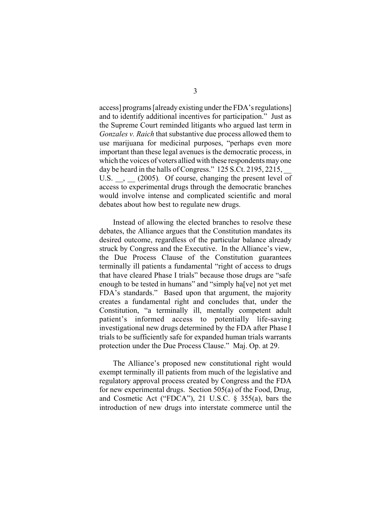access] programs [already existing under the FDA's regulations] and to identify additional incentives for participation." Just as the Supreme Court reminded litigants who argued last term in *Gonzales v. Raich* that substantive due process allowed them to use marijuana for medicinal purposes, "perhaps even more important than these legal avenues is the democratic process, in which the voices of voters allied with these respondents may one day be heard in the halls of Congress." 125 S.Ct. 2195, 2215, U.S.  $\blacksquare$ , (2005). Of course, changing the present level of access to experimental drugs through the democratic branches would involve intense and complicated scientific and moral debates about how best to regulate new drugs.

Instead of allowing the elected branches to resolve these debates, the Alliance argues that the Constitution mandates its desired outcome, regardless of the particular balance already struck by Congress and the Executive. In the Alliance's view, the Due Process Clause of the Constitution guarantees terminally ill patients a fundamental "right of access to drugs that have cleared Phase I trials" because those drugs are "safe enough to be tested in humans" and "simply ha<sup>[</sup>ve] not yet met FDA's standards." Based upon that argument, the majority creates a fundamental right and concludes that, under the Constitution, "a terminally ill, mentally competent adult patient's informed access to potentially life-saving investigational new drugs determined by the FDA after Phase I trials to be sufficiently safe for expanded human trials warrants protection under the Due Process Clause." Maj. Op. at 29.

The Alliance's proposed new constitutional right would exempt terminally ill patients from much of the legislative and regulatory approval process created by Congress and the FDA for new experimental drugs. Section 505(a) of the Food, Drug, and Cosmetic Act ("FDCA"), 21 U.S.C. § 355(a), bars the introduction of new drugs into interstate commerce until the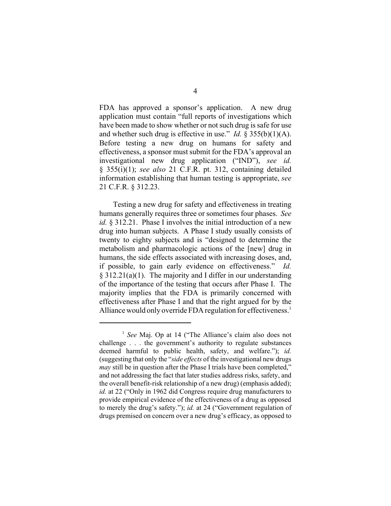FDA has approved a sponsor's application. A new drug application must contain "full reports of investigations which have been made to show whether or not such drug is safe for use and whether such drug is effective in use." *Id.*  $\S 355(b)(1)(A)$ . Before testing a new drug on humans for safety and effectiveness, a sponsor must submit for the FDA's approval an investigational new drug application ("IND"), *see id.* § 355(i)(1); *see also* 21 C.F.R. pt. 312, containing detailed information establishing that human testing is appropriate, *see* 21 C.F.R. § 312.23.

Testing a new drug for safety and effectiveness in treating humans generally requires three or sometimes four phases. *See id.* § 312.21. Phase I involves the initial introduction of a new drug into human subjects. A Phase I study usually consists of twenty to eighty subjects and is "designed to determine the metabolism and pharmacologic actions of the [new] drug in humans, the side effects associated with increasing doses, and, if possible, to gain early evidence on effectiveness." *Id.* § 312.21(a)(1). The majority and I differ in our understanding of the importance of the testing that occurs after Phase I. The majority implies that the FDA is primarily concerned with effectiveness after Phase I and that the right argued for by the Alliance would only override FDA regulation for effectiveness.<sup>1</sup>

<sup>1</sup> *See* Maj. Op at 14 ("The Alliance's claim also does not challenge . . . the government's authority to regulate substances deemed harmful to public health, safety, and welfare."); *id.* (suggesting that only the "*side effects* of the investigational new drugs *may* still be in question after the Phase I trials have been completed," and not addressing the fact that later studies address risks, safety, and the overall benefit-risk relationship of a new drug) (emphasis added); *id.* at 22 ("Only in 1962 did Congress require drug manufacturers to provide empirical evidence of the effectiveness of a drug as opposed to merely the drug's safety."); *id.* at 24 ("Government regulation of drugs premised on concern over a new drug's efficacy, as opposed to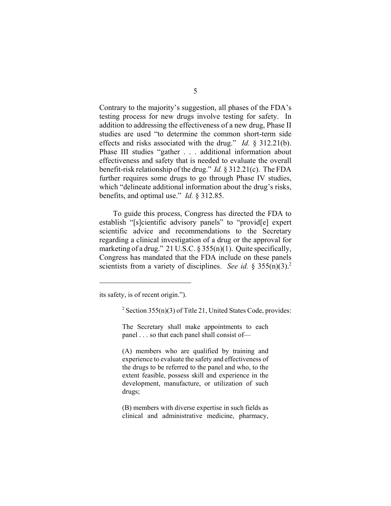Contrary to the majority's suggestion, all phases of the FDA's testing process for new drugs involve testing for safety. In addition to addressing the effectiveness of a new drug, Phase II studies are used "to determine the common short-term side effects and risks associated with the drug." *Id.* § 312.21(b). Phase III studies "gather . . . additional information about effectiveness and safety that is needed to evaluate the overall benefit-risk relationship of the drug." *Id.* § 312.21(c). The FDA further requires some drugs to go through Phase IV studies, which "delineate additional information about the drug's risks, benefits, and optimal use." *Id.* § 312.85.

To guide this process, Congress has directed the FDA to establish "[s]cientific advisory panels" to "provid[e] expert scientific advice and recommendations to the Secretary regarding a clinical investigation of a drug or the approval for marketing of a drug." 21 U.S.C. § 355(n)(1). Quite specifically, Congress has mandated that the FDA include on these panels scientists from a variety of disciplines. *See id.* § 355(n)(3).<sup>2</sup>

The Secretary shall make appointments to each panel . . . so that each panel shall consist of—

(A) members who are qualified by training and experience to evaluate the safety and effectiveness of the drugs to be referred to the panel and who, to the extent feasible, possess skill and experience in the development, manufacture, or utilization of such drugs;

(B) members with diverse expertise in such fields as clinical and administrative medicine, pharmacy,

its safety, is of recent origin.").

<sup>&</sup>lt;sup>2</sup> Section 355(n)(3) of Title 21, United States Code, provides: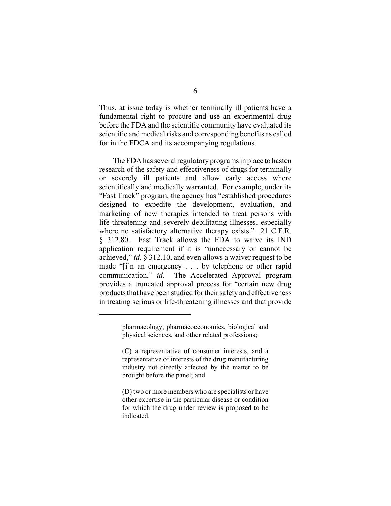Thus, at issue today is whether terminally ill patients have a fundamental right to procure and use an experimental drug before the FDA and the scientific community have evaluated its scientific and medical risks and corresponding benefits as called for in the FDCA and its accompanying regulations.

The FDA has several regulatory programs in place to hasten research of the safety and effectiveness of drugs for terminally or severely ill patients and allow early access where scientifically and medically warranted. For example, under its "Fast Track" program, the agency has "established procedures designed to expedite the development, evaluation, and marketing of new therapies intended to treat persons with life-threatening and severely-debilitating illnesses, especially where no satisfactory alternative therapy exists." 21 C.F.R. § 312.80. Fast Track allows the FDA to waive its IND application requirement if it is "unnecessary or cannot be achieved," *id.* § 312.10, and even allows a waiver request to be made "[i]n an emergency . . . by telephone or other rapid communication," *id.* The Accelerated Approval program provides a truncated approval process for "certain new drug products that have been studied for their safety and effectiveness in treating serious or life-threatening illnesses and that provide

pharmacology, pharmacoeconomics, biological and physical sciences, and other related professions;

<sup>(</sup>C) a representative of consumer interests, and a representative of interests of the drug manufacturing industry not directly affected by the matter to be brought before the panel; and

<sup>(</sup>D) two or more members who are specialists or have other expertise in the particular disease or condition for which the drug under review is proposed to be indicated.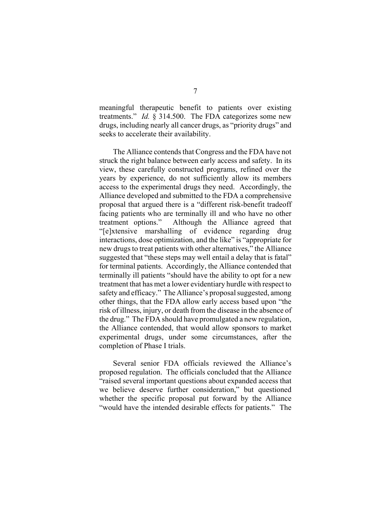meaningful therapeutic benefit to patients over existing treatments." *Id.* § 314.500. The FDA categorizes some new drugs, including nearly all cancer drugs, as "priority drugs" and seeks to accelerate their availability.

The Alliance contends that Congress and the FDA have not struck the right balance between early access and safety. In its view, these carefully constructed programs, refined over the years by experience, do not sufficiently allow its members access to the experimental drugs they need. Accordingly, the Alliance developed and submitted to the FDA a comprehensive proposal that argued there is a "different risk-benefit tradeoff facing patients who are terminally ill and who have no other treatment options." Although the Alliance agreed that "[e]xtensive marshalling of evidence regarding drug interactions, dose optimization, and the like" is "appropriate for new drugs to treat patients with other alternatives," the Alliance suggested that "these steps may well entail a delay that is fatal" for terminal patients. Accordingly, the Alliance contended that terminally ill patients "should have the ability to opt for a new treatment that has met a lower evidentiary hurdle with respect to safety and efficacy." The Alliance's proposal suggested, among other things, that the FDA allow early access based upon "the risk of illness, injury, or death from the disease in the absence of the drug." The FDA should have promulgated a new regulation, the Alliance contended, that would allow sponsors to market experimental drugs, under some circumstances, after the completion of Phase I trials.

Several senior FDA officials reviewed the Alliance's proposed regulation. The officials concluded that the Alliance "raised several important questions about expanded access that we believe deserve further consideration," but questioned whether the specific proposal put forward by the Alliance "would have the intended desirable effects for patients." The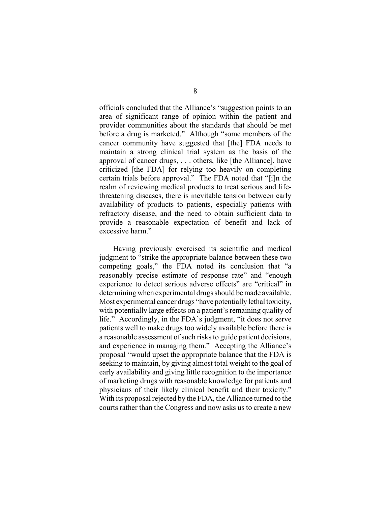officials concluded that the Alliance's "suggestion points to an area of significant range of opinion within the patient and provider communities about the standards that should be met before a drug is marketed." Although "some members of the cancer community have suggested that [the] FDA needs to maintain a strong clinical trial system as the basis of the approval of cancer drugs, . . . others, like [the Alliance], have criticized [the FDA] for relying too heavily on completing certain trials before approval." The FDA noted that "[i]n the realm of reviewing medical products to treat serious and lifethreatening diseases, there is inevitable tension between early availability of products to patients, especially patients with refractory disease, and the need to obtain sufficient data to provide a reasonable expectation of benefit and lack of excessive harm."

Having previously exercised its scientific and medical judgment to "strike the appropriate balance between these two competing goals," the FDA noted its conclusion that "a reasonably precise estimate of response rate" and "enough experience to detect serious adverse effects" are "critical" in determining when experimental drugs should be made available. Most experimental cancer drugs "have potentially lethal toxicity, with potentially large effects on a patient's remaining quality of life." Accordingly, in the FDA's judgment, "it does not serve patients well to make drugs too widely available before there is a reasonable assessment of such risks to guide patient decisions, and experience in managing them." Accepting the Alliance's proposal "would upset the appropriate balance that the FDA is seeking to maintain, by giving almost total weight to the goal of early availability and giving little recognition to the importance of marketing drugs with reasonable knowledge for patients and physicians of their likely clinical benefit and their toxicity." With its proposal rejected by the FDA, the Alliance turned to the courts rather than the Congress and now asks us to create a new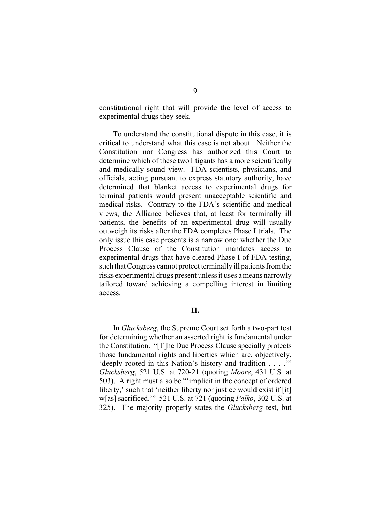constitutional right that will provide the level of access to experimental drugs they seek.

To understand the constitutional dispute in this case, it is critical to understand what this case is not about. Neither the Constitution nor Congress has authorized this Court to determine which of these two litigants has a more scientifically and medically sound view. FDA scientists, physicians, and officials, acting pursuant to express statutory authority, have determined that blanket access to experimental drugs for terminal patients would present unacceptable scientific and medical risks. Contrary to the FDA's scientific and medical views, the Alliance believes that, at least for terminally ill patients, the benefits of an experimental drug will usually outweigh its risks after the FDA completes Phase I trials. The only issue this case presents is a narrow one: whether the Due Process Clause of the Constitution mandates access to experimental drugs that have cleared Phase I of FDA testing, such that Congress cannot protect terminally ill patients from the risks experimental drugs present unless it uses a means narrowly tailored toward achieving a compelling interest in limiting access.

# **II.**

In *Glucksberg*, the Supreme Court set forth a two-part test for determining whether an asserted right is fundamental under the Constitution. "[T]he Due Process Clause specially protects those fundamental rights and liberties which are, objectively, 'deeply rooted in this Nation's history and tradition . . . .'" *Glucksberg*, 521 U.S. at 720-21 (quoting *Moore*, 431 U.S. at 503). A right must also be "'implicit in the concept of ordered liberty,' such that 'neither liberty nor justice would exist if [it] w[as] sacrificed.'" 521 U.S. at 721 (quoting *Palko*, 302 U.S. at 325). The majority properly states the *Glucksberg* test, but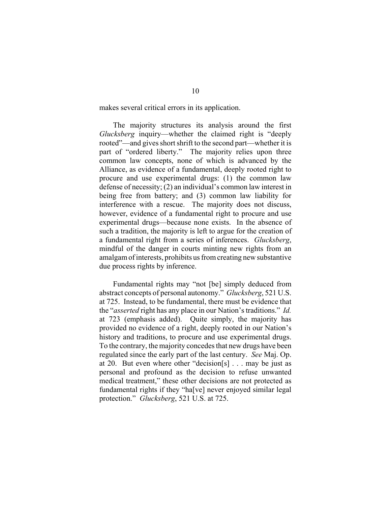makes several critical errors in its application.

The majority structures its analysis around the first *Glucksberg* inquiry—whether the claimed right is "deeply rooted"—and gives short shrift to the second part—whether it is part of "ordered liberty." The majority relies upon three common law concepts, none of which is advanced by the Alliance, as evidence of a fundamental, deeply rooted right to procure and use experimental drugs: (1) the common law defense of necessity; (2) an individual's common law interest in being free from battery; and (3) common law liability for interference with a rescue. The majority does not discuss, however, evidence of a fundamental right to procure and use experimental drugs—because none exists. In the absence of such a tradition, the majority is left to argue for the creation of a fundamental right from a series of inferences. *Glucksberg*, mindful of the danger in courts minting new rights from an amalgam of interests, prohibits us from creating new substantive due process rights by inference.

Fundamental rights may "not [be] simply deduced from abstract concepts of personal autonomy." *Glucksberg*, 521 U.S. at 725. Instead, to be fundamental, there must be evidence that the "*asserted* right has any place in our Nation's traditions." *Id.* at 723 (emphasis added). Quite simply, the majority has provided no evidence of a right, deeply rooted in our Nation's history and traditions, to procure and use experimental drugs. To the contrary, the majority concedes that new drugs have been regulated since the early part of the last century. *See* Maj. Op. at 20. But even where other "decision[s] . . . may be just as personal and profound as the decision to refuse unwanted medical treatment," these other decisions are not protected as fundamental rights if they "ha[ve] never enjoyed similar legal protection." *Glucksberg*, 521 U.S. at 725.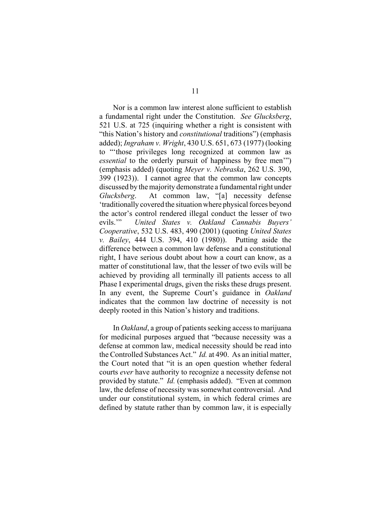Nor is a common law interest alone sufficient to establish a fundamental right under the Constitution. *See Glucksberg*, 521 U.S. at 725 (inquiring whether a right is consistent with "this Nation's history and *constitutional* traditions") (emphasis added); *Ingraham v. Wright*, 430 U.S. 651, 673 (1977) (looking to "'those privileges long recognized at common law as *essential* to the orderly pursuit of happiness by free men'") (emphasis added) (quoting *Meyer v. Nebraska*, 262 U.S. 390, 399 (1923)). I cannot agree that the common law concepts discussed by the majority demonstrate a fundamental right under *Glucksberg*. At common law, "[a] necessity defense 'traditionally covered the situation where physical forces beyond the actor's control rendered illegal conduct the lesser of two evils.'" *United States v. Oakland Cannabis Buyers' Cooperative*, 532 U.S. 483, 490 (2001) (quoting *United States v. Bailey*, 444 U.S. 394, 410 (1980)). Putting aside the difference between a common law defense and a constitutional right, I have serious doubt about how a court can know, as a matter of constitutional law, that the lesser of two evils will be achieved by providing all terminally ill patients access to all Phase I experimental drugs, given the risks these drugs present. In any event, the Supreme Court's guidance in *Oakland* indicates that the common law doctrine of necessity is not deeply rooted in this Nation's history and traditions.

In *Oakland*, a group of patients seeking access to marijuana for medicinal purposes argued that "because necessity was a defense at common law, medical necessity should be read into the Controlled Substances Act." *Id.* at 490. As an initial matter, the Court noted that "it is an open question whether federal courts *ever* have authority to recognize a necessity defense not provided by statute." *Id.* (emphasis added). "Even at common law, the defense of necessity was somewhat controversial. And under our constitutional system, in which federal crimes are defined by statute rather than by common law, it is especially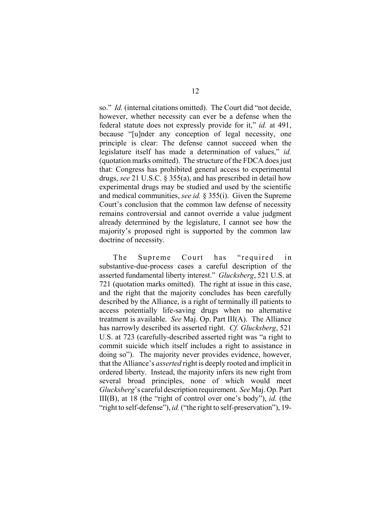so." *Id.* (internal citations omitted). The Court did "not decide, however, whether necessity can ever be a defense when the federal statute does not expressly provide for it," *id.* at 491, because "[u]nder any conception of legal necessity, one principle is clear: The defense cannot succeed when the legislature itself has made a determination of values," *id.* (quotation marks omitted). The structure of the FDCA does just that: Congress has prohibited general access to experimental drugs, *see* 21 U.S.C. § 355(a), and has prescribed in detail how experimental drugs may be studied and used by the scientific and medical communities, *see id.* § 355(i). Given the Supreme Court's conclusion that the common law defense of necessity remains controversial and cannot override a value judgment already determined by the legislature, I cannot see how the majority's proposed right is supported by the common law doctrine of necessity.

The Supreme Court has "required in substantive-due-process cases a careful description of the asserted fundamental liberty interest." *Glucksberg*, 521 U.S. at 721 (quotation marks omitted). The right at issue in this case, and the right that the majority concludes has been carefully described by the Alliance, is a right of terminally ill patients to access potentially life-saving drugs when no alternative treatment is available. *See* Maj. Op. Part III(A). The Alliance has narrowly described its asserted right. *Cf. Glucksberg*, 521 U.S. at 723 (carefully-described asserted right was "a right to commit suicide which itself includes a right to assistance in doing so"). The majority never provides evidence, however, that the Alliance's *asserted* right is deeply rooted and implicit in ordered liberty. Instead, the majority infers its new right from several broad principles, none of which would meet *Glucksberg*'s careful description requirement. *See* Maj. Op. Part III(B), at 18 (the "right of control over one's body"), *id.* (the "right to self-defense"), *id.* ("the right to self-preservation"), 19-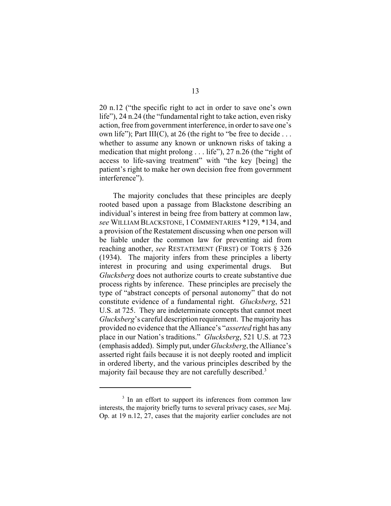20 n.12 ("the specific right to act in order to save one's own life"), 24 n.24 (the "fundamental right to take action, even risky action, free from government interference, in order to save one's own life"); Part III(C), at 26 (the right to "be free to decide  $\ldots$ whether to assume any known or unknown risks of taking a medication that might prolong . . . life"), 27 n.26 (the "right of access to life-saving treatment" with "the key [being] the patient's right to make her own decision free from government interference").

The majority concludes that these principles are deeply rooted based upon a passage from Blackstone describing an individual's interest in being free from battery at common law, *see* WILLIAM BLACKSTONE, 1 COMMENTARIES \*129, \*134, and a provision of the Restatement discussing when one person will be liable under the common law for preventing aid from reaching another, *see* RESTATEMENT (FIRST) OF TORTS § 326 (1934). The majority infers from these principles a liberty interest in procuring and using experimental drugs. But *Glucksberg* does not authorize courts to create substantive due process rights by inference. These principles are precisely the type of "abstract concepts of personal autonomy" that do not constitute evidence of a fundamental right. *Glucksberg*, 521 U.S. at 725. They are indeterminate concepts that cannot meet *Glucksberg*'s careful description requirement. The majority has provided no evidence that the Alliance's "*asserted* right has any place in our Nation's traditions." *Glucksberg*, 521 U.S. at 723 (emphasis added). Simply put, under *Glucksberg*, the Alliance's asserted right fails because it is not deeply rooted and implicit in ordered liberty, and the various principles described by the majority fail because they are not carefully described.<sup>3</sup>

<sup>&</sup>lt;sup>3</sup> In an effort to support its inferences from common law interests, the majority briefly turns to several privacy cases, *see* Maj. Op. at 19 n.12, 27, cases that the majority earlier concludes are not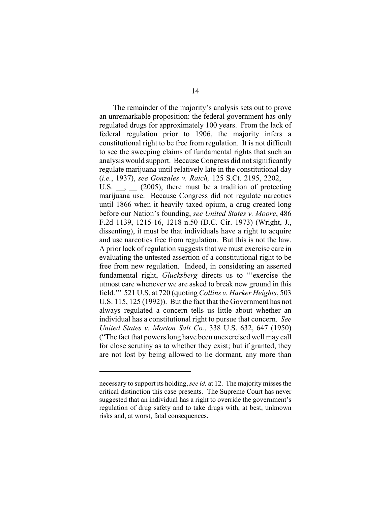The remainder of the majority's analysis sets out to prove an unremarkable proposition: the federal government has only regulated drugs for approximately 100 years. From the lack of federal regulation prior to 1906, the majority infers a constitutional right to be free from regulation. It is not difficult to see the sweeping claims of fundamental rights that such an analysis would support. Because Congress did not significantly regulate marijuana until relatively late in the constitutional day (*i.e.*, 1937), *see Gonzales v. Raich,* 125 S.Ct. 2195, 2202, \_\_ U.S. , (2005), there must be a tradition of protecting marijuana use. Because Congress did not regulate narcotics until 1866 when it heavily taxed opium, a drug created long before our Nation's founding, *see United States v. Moore*, 486 F.2d 1139, 1215-16, 1218 n.50 (D.C. Cir. 1973) (Wright, J., dissenting), it must be that individuals have a right to acquire and use narcotics free from regulation. But this is not the law. A prior lack of regulation suggests that we must exercise care in evaluating the untested assertion of a constitutional right to be free from new regulation. Indeed, in considering an asserted fundamental right, *Glucksberg* directs us to "'exercise the utmost care whenever we are asked to break new ground in this field.'" 521 U.S. at 720 (quoting *Collins v. Harker Heights*, 503 U.S. 115, 125 (1992)). But the fact that the Government has not always regulated a concern tells us little about whether an individual has a constitutional right to pursue that concern. *See United States v. Morton Salt Co.*, 338 U.S. 632, 647 (1950) ("The fact that powers long have been unexercised well may call for close scrutiny as to whether they exist; but if granted, they are not lost by being allowed to lie dormant, any more than

necessary to support its holding, *see id.* at 12. The majority misses the critical distinction this case presents. The Supreme Court has never suggested that an individual has a right to override the government's regulation of drug safety and to take drugs with, at best, unknown risks and, at worst, fatal consequences.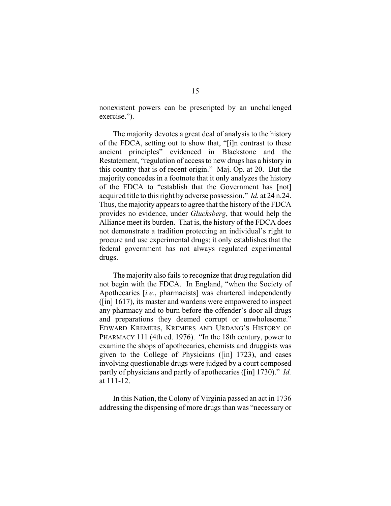nonexistent powers can be prescripted by an unchallenged exercise.").

The majority devotes a great deal of analysis to the history of the FDCA, setting out to show that, "[i]n contrast to these ancient principles" evidenced in Blackstone and the Restatement, "regulation of access to new drugs has a history in this country that is of recent origin." Maj. Op. at 20. But the majority concedes in a footnote that it only analyzes the history of the FDCA to "establish that the Government has [not] acquired title to this right by adverse possession." *Id.* at 24 n.24. Thus, the majority appears to agree that the history of the FDCA provides no evidence, under *Glucksberg*, that would help the Alliance meet its burden. That is, the history of the FDCA does not demonstrate a tradition protecting an individual's right to procure and use experimental drugs; it only establishes that the federal government has not always regulated experimental drugs.

The majority also fails to recognize that drug regulation did not begin with the FDCA. In England, "when the Society of Apothecaries [*i.e.*, pharmacists] was chartered independently ([in] 1617), its master and wardens were empowered to inspect any pharmacy and to burn before the offender's door all drugs and preparations they deemed corrupt or unwholesome." EDWARD KREMERS, KREMERS AND URDANG'S HISTORY OF PHARMACY 111 (4th ed. 1976). "In the 18th century, power to examine the shops of apothecaries, chemists and druggists was given to the College of Physicians ([in] 1723), and cases involving questionable drugs were judged by a court composed partly of physicians and partly of apothecaries ([in] 1730)." *Id.* at 111-12.

In this Nation, the Colony of Virginia passed an act in 1736 addressing the dispensing of more drugs than was "necessary or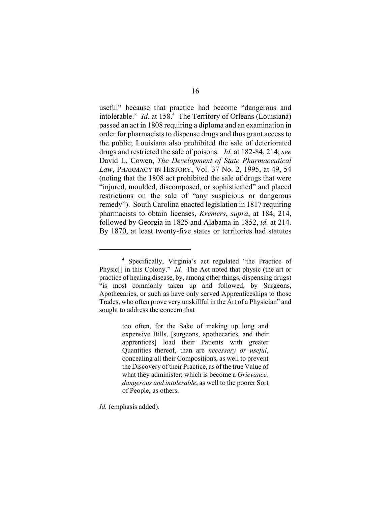useful" because that practice had become "dangerous and intolerable." *Id.* at 158.<sup>4</sup> The Territory of Orleans (Louisiana) passed an act in 1808 requiring a diploma and an examination in order for pharmacists to dispense drugs and thus grant access to the public; Louisiana also prohibited the sale of deteriorated drugs and restricted the sale of poisons. *Id.* at 182-84, 214; *see* David L. Cowen, *The Development of State Pharmaceutical Law*, PHARMACY IN HISTORY, Vol. 37 No. 2, 1995, at 49, 54 (noting that the 1808 act prohibited the sale of drugs that were "injured, moulded, discomposed, or sophisticated" and placed restrictions on the sale of "any suspicious or dangerous remedy"). South Carolina enacted legislation in 1817 requiring pharmacists to obtain licenses, *Kremers*, *supra*, at 184, 214, followed by Georgia in 1825 and Alabama in 1852, *id.* at 214. By 1870, at least twenty-five states or territories had statutes

too often, for the Sake of making up long and expensive Bills, [surgeons, apothecaries, and their apprentices] load their Patients with greater Quantities thereof, than are *necessary or useful*, concealing all their Compositions, as well to prevent the Discovery of their Practice, as of the true Value of what they administer; which is become a *Grievance, dangerous and intolerable*, as well to the poorer Sort of People, as others.

*Id.* (emphasis added).

<sup>4</sup> Specifically, Virginia's act regulated "the Practice of Physic<sup>[]</sup> in this Colony." *Id.* The Act noted that physic (the art or practice of healing disease, by, among other things, dispensing drugs) "is most commonly taken up and followed, by Surgeons, Apothecaries, or such as have only served Apprenticeships to those Trades, who often prove very unskillful in the Art of a Physician" and sought to address the concern that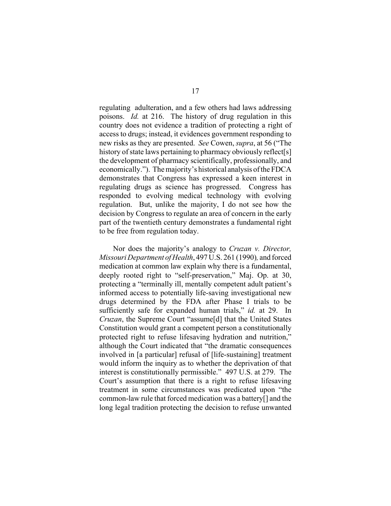regulating adulteration, and a few others had laws addressing poisons. *Id.* at 216. The history of drug regulation in this country does not evidence a tradition of protecting a right of access to drugs; instead, it evidences government responding to new risks as they are presented. *See* Cowen, *supra*, at 56 ("The history of state laws pertaining to pharmacy obviously reflect[s] the development of pharmacy scientifically, professionally, and economically."). The majority's historical analysis of the FDCA demonstrates that Congress has expressed a keen interest in regulating drugs as science has progressed. Congress has responded to evolving medical technology with evolving regulation. But, unlike the majority, I do not see how the decision by Congress to regulate an area of concern in the early part of the twentieth century demonstrates a fundamental right to be free from regulation today.

Nor does the majority's analogy to *Cruzan v. Director, Missouri Department of Health*, 497 U.S. 261 (1990)*,* and forced medication at common law explain why there is a fundamental, deeply rooted right to "self-preservation," Maj. Op. at 30, protecting a "terminally ill, mentally competent adult patient's informed access to potentially life-saving investigational new drugs determined by the FDA after Phase I trials to be sufficiently safe for expanded human trials," *id.* at 29. In *Cruzan*, the Supreme Court "assume[d] that the United States Constitution would grant a competent person a constitutionally protected right to refuse lifesaving hydration and nutrition," although the Court indicated that "the dramatic consequences involved in [a particular] refusal of [life-sustaining] treatment would inform the inquiry as to whether the deprivation of that interest is constitutionally permissible." 497 U.S. at 279. The Court's assumption that there is a right to refuse lifesaving treatment in some circumstances was predicated upon "the common-law rule that forced medication was a battery[] and the long legal tradition protecting the decision to refuse unwanted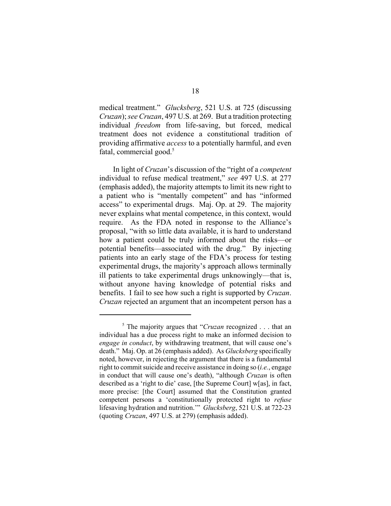medical treatment." *Glucksberg*, 521 U.S. at 725 (discussing *Cruzan*); *see Cruzan*, 497 U.S. at 269. But a tradition protecting individual *freedom* from life-saving, but forced, medical treatment does not evidence a constitutional tradition of providing affirmative *access* to a potentially harmful, and even fatal, commercial good. $5$ 

In light of *Cruzan*'s discussion of the "right of a *competent* individual to refuse medical treatment," *see* 497 U.S. at 277 (emphasis added), the majority attempts to limit its new right to a patient who is "mentally competent" and has "informed access" to experimental drugs. Maj. Op. at 29. The majority never explains what mental competence, in this context, would require. As the FDA noted in response to the Alliance's proposal, "with so little data available, it is hard to understand how a patient could be truly informed about the risks—or potential benefits—associated with the drug." By injecting patients into an early stage of the FDA's process for testing experimental drugs, the majority's approach allows terminally ill patients to take experimental drugs unknowingly—that is, without anyone having knowledge of potential risks and benefits. I fail to see how such a right is supported by *Cruzan*. *Cruzan* rejected an argument that an incompetent person has a

<sup>5</sup> The majority argues that "*Cruzan* recognized . . . that an individual has a due process right to make an informed decision to *engage in conduct*, by withdrawing treatment, that will cause one's death." Maj. Op. at 26 (emphasis added). As *Glucksberg* specifically noted, however, in rejecting the argument that there is a fundamental right to commit suicide and receive assistance in doing so (*i.e.*, engage in conduct that will cause one's death), "although *Cruzan* is often described as a 'right to die' case, [the Supreme Court] w[as], in fact, more precise: [the Court] assumed that the Constitution granted competent persons a 'constitutionally protected right to *refuse* lifesaving hydration and nutrition.'" *Glucksberg*, 521 U.S. at 722-23 (quoting *Cruzan*, 497 U.S. at 279) (emphasis added).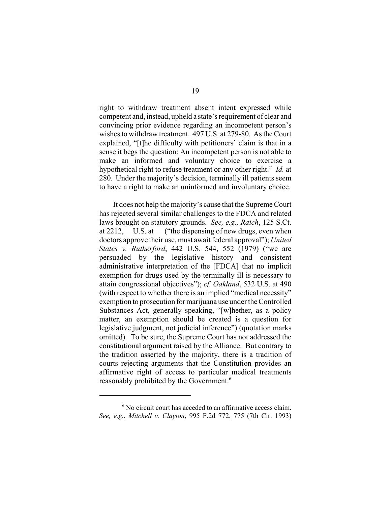right to withdraw treatment absent intent expressed while competent and, instead, upheld a state's requirement of clear and convincing prior evidence regarding an incompetent person's wishes to withdraw treatment. 497 U.S. at 279-80. As the Court explained, "[t]he difficulty with petitioners' claim is that in a sense it begs the question: An incompetent person is not able to make an informed and voluntary choice to exercise a hypothetical right to refuse treatment or any other right." *Id.* at 280. Under the majority's decision, terminally ill patients seem to have a right to make an uninformed and involuntary choice.

It does not help the majority's cause that the Supreme Court has rejected several similar challenges to the FDCA and related laws brought on statutory grounds. *See, e.g., Raich*, 125 S.Ct. at 2212, U.S. at ("the dispensing of new drugs, even when doctors approve their use, must await federal approval"); *United States v. Rutherford*, 442 U.S. 544, 552 (1979) ("we are persuaded by the legislative history and consistent administrative interpretation of the [FDCA] that no implicit exemption for drugs used by the terminally ill is necessary to attain congressional objectives"); *cf. Oakland*, 532 U.S. at 490 (with respect to whether there is an implied "medical necessity" exemption to prosecution for marijuana use under the Controlled Substances Act, generally speaking, "[w]hether, as a policy matter, an exemption should be created is a question for legislative judgment, not judicial inference") (quotation marks omitted). To be sure, the Supreme Court has not addressed the constitutional argument raised by the Alliance. But contrary to the tradition asserted by the majority, there is a tradition of courts rejecting arguments that the Constitution provides an affirmative right of access to particular medical treatments reasonably prohibited by the Government.<sup>6</sup>

<sup>&</sup>lt;sup>6</sup> No circuit court has acceded to an affirmative access claim. *See, e.g.*, *Mitchell v. Clayton*, 995 F.2d 772, 775 (7th Cir. 1993)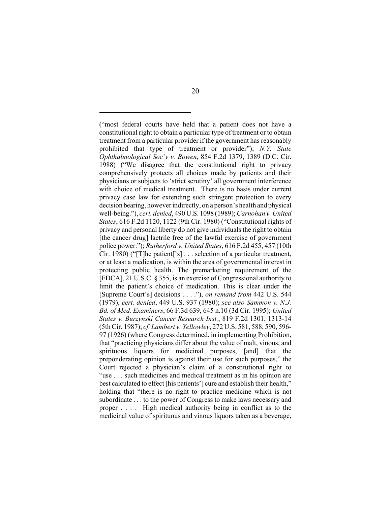("most federal courts have held that a patient does not have a constitutional right to obtain a particular type of treatment or to obtain treatment from a particular provider if the government has reasonably prohibited that type of treatment or provider"); *N.Y. State Ophthalmological Soc'y v. Bowen*, 854 F.2d 1379, 1389 (D.C. Cir. 1988) ("We disagree that the constitutional right to privacy comprehensively protects all choices made by patients and their physicians or subjects to 'strict scrutiny' all government interference with choice of medical treatment. There is no basis under current privacy case law for extending such stringent protection to every decision bearing, however indirectly, on a person's health and physical well-being."), *cert. denied*, 490 U.S. 1098 (1989); *Carnohan v. United States*, 616 F.2d 1120, 1122 (9th Cir. 1980) ("Constitutional rights of privacy and personal liberty do not give individuals the right to obtain [the cancer drug] laetrile free of the lawful exercise of government police power."); *Rutherford v. United States*, 616 F.2d 455, 457 (10th Cir. 1980) ("[T]he patient['s] . . . selection of a particular treatment, or at least a medication, is within the area of governmental interest in protecting public health. The premarketing requirement of the [FDCA], 21 U.S.C. § 355, is an exercise of Congressional authority to limit the patient's choice of medication. This is clear under the [Supreme Court's] decisions . . . ."), *on remand from* 442 U.S. 544 (1979), *cert. denied*, 449 U.S. 937 (1980); *see also Sammon v. N.J. Bd. of Med. Examiners*, 66 F.3d 639, 645 n.10 (3d Cir. 1995); *United States v. Burzynski Cancer Research Inst.*, 819 F.2d 1301, 1313-14 (5th Cir. 1987); *cf. Lambert v. Yellowley*, 272 U.S. 581, 588, 590, 596- 97 (1926) (where Congress determined, in implementing Prohibition, that "practicing physicians differ about the value of malt, vinous, and spirituous liquors for medicinal purposes, [and] that the preponderating opinion is against their use for such purposes," the Court rejected a physician's claim of a constitutional right to "use . . . such medicines and medical treatment as in his opinion are best calculated to effect [his patients'] cure and establish their health," holding that "there is no right to practice medicine which is not subordinate . . . to the power of Congress to make laws necessary and proper . . . . High medical authority being in conflict as to the medicinal value of spirituous and vinous liquors taken as a beverage,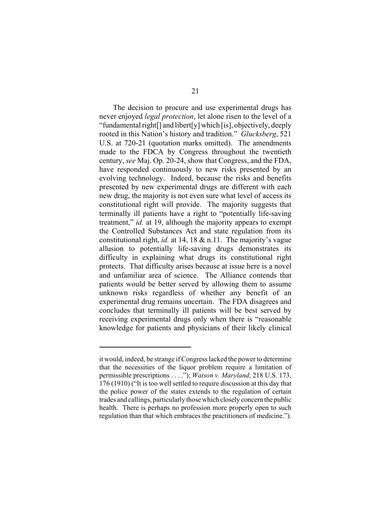The decision to procure and use experimental drugs has never enjoyed *legal protection*, let alone risen to the level of a "fundamental right[] and libert[y] which [is], objectively, deeply rooted in this Nation's history and tradition." *Glucksberg*, 521 U.S. at 720-21 (quotation marks omitted). The amendments made to the FDCA by Congress throughout the twentieth century, *see* Maj. Op. 20-24, show that Congress, and the FDA, have responded continuously to new risks presented by an evolving technology. Indeed, because the risks and benefits presented by new experimental drugs are different with each new drug, the majority is not even sure what level of access its constitutional right will provide. The majority suggests that terminally ill patients have a right to "potentially life-saving treatment," *id.* at 19, although the majority appears to exempt the Controlled Substances Act and state regulation from its constitutional right, *id.* at 14, 18 & n.11. The majority's vague allusion to potentially life-saving drugs demonstrates its difficulty in explaining what drugs its constitutional right protects. That difficulty arises because at issue here is a novel and unfamiliar area of science. The Alliance contends that patients would be better served by allowing them to assume unknown risks regardless of whether any benefit of an experimental drug remains uncertain. The FDA disagrees and concludes that terminally ill patients will be best served by receiving experimental drugs only when there is "reasonable knowledge for patients and physicians of their likely clinical

it would, indeed, be strange if Congress lacked the power to determine that the necessities of the liquor problem require a limitation of permissible prescriptions . . . ."); *Watson v. Maryland*, 218 U.S. 173, 176 (1910) ("It is too well settled to require discussion at this day that the police power of the states extends to the regulation of certain trades and callings, particularly those which closely concern the public health. There is perhaps no profession more properly open to such regulation than that which embraces the practitioners of medicine.").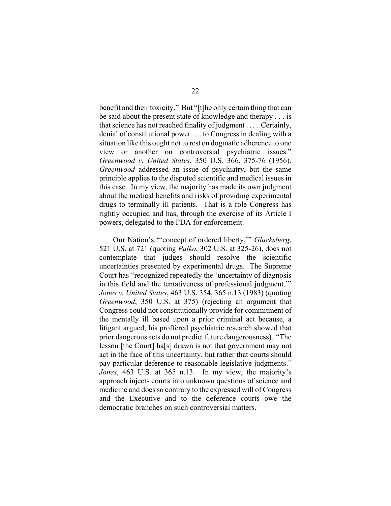benefit and their toxicity." But "[t]he only certain thing that can be said about the present state of knowledge and therapy . . . is that science has not reached finality of judgment . . . . Certainly, denial of constitutional power . . . to Congress in dealing with a situation like this ought not to rest on dogmatic adherence to one view or another on controversial psychiatric issues." *Greenwood v. United States*, 350 U.S. 366, 375-76 (1956). *Greenwood* addressed an issue of psychiatry, but the same principle applies to the disputed scientific and medical issues in this case. In my view, the majority has made its own judgment about the medical benefits and risks of providing experimental drugs to terminally ill patients. That is a role Congress has rightly occupied and has, through the exercise of its Article I powers, delegated to the FDA for enforcement.

Our Nation's "'concept of ordered liberty,'" *Glucksberg*, 521 U.S. at 721 (quoting *Palko*, 302 U.S. at 325-26), does not contemplate that judges should resolve the scientific uncertainties presented by experimental drugs. The Supreme Court has "recognized repeatedly the 'uncertainty of diagnosis in this field and the tentativeness of professional judgment.'" *Jones v. United States*, 463 U.S. 354, 365 n.13 (1983) (quoting *Greenwood*, 350 U.S. at 375) (rejecting an argument that Congress could not constitutionally provide for commitment of the mentally ill based upon a prior criminal act because, a litigant argued, his proffered psychiatric research showed that prior dangerous acts do not predict future dangerousness). "The lesson [the Court] ha[s] drawn is not that government may not act in the face of this uncertainty, but rather that courts should pay particular deference to reasonable legislative judgments." *Jones*, 463 U.S. at 365 n.13. In my view, the majority's approach injects courts into unknown questions of science and medicine and does so contrary to the expressed will of Congress and the Executive and to the deference courts owe the democratic branches on such controversial matters.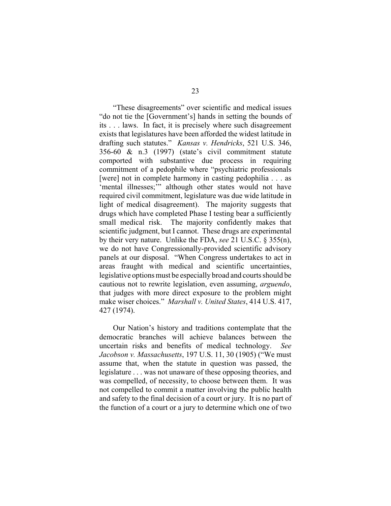"These disagreements" over scientific and medical issues "do not tie the [Government's] hands in setting the bounds of its . . . laws. In fact, it is precisely where such disagreement exists that legislatures have been afforded the widest latitude in drafting such statutes." *Kansas v. Hendricks*, 521 U.S. 346, 356-60 & n.3 (1997) (state's civil commitment statute comported with substantive due process in requiring commitment of a pedophile where "psychiatric professionals [were] not in complete harmony in casting pedophilia . . . as 'mental illnesses;'" although other states would not have required civil commitment, legislature was due wide latitude in light of medical disagreement). The majority suggests that drugs which have completed Phase I testing bear a sufficiently small medical risk. The majority confidently makes that scientific judgment, but I cannot. These drugs are experimental by their very nature. Unlike the FDA, *see* 21 U.S.C. § 355(n), we do not have Congressionally-provided scientific advisory panels at our disposal. "When Congress undertakes to act in areas fraught with medical and scientific uncertainties, legislative options must be especially broad and courts should be cautious not to rewrite legislation, even assuming, *arguendo*, that judges with more direct exposure to the problem might make wiser choices." *Marshall v. United States*, 414 U.S. 417, 427 (1974).

Our Nation's history and traditions contemplate that the democratic branches will achieve balances between the uncertain risks and benefits of medical technology. *See Jacobson v. Massachusetts*, 197 U.S. 11, 30 (1905) ("We must assume that, when the statute in question was passed, the legislature . . . was not unaware of these opposing theories, and was compelled, of necessity, to choose between them. It was not compelled to commit a matter involving the public health and safety to the final decision of a court or jury. It is no part of the function of a court or a jury to determine which one of two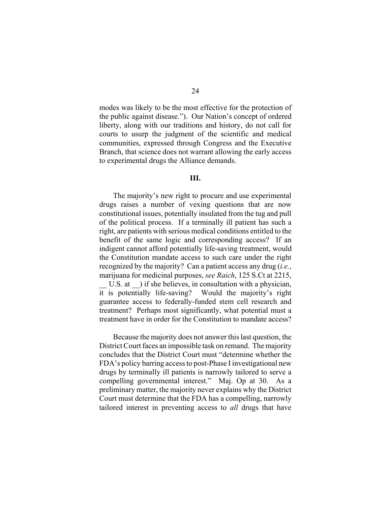modes was likely to be the most effective for the protection of the public against disease."). Our Nation's concept of ordered liberty, along with our traditions and history, do not call for courts to usurp the judgment of the scientific and medical communities, expressed through Congress and the Executive Branch, that science does not warrant allowing the early access to experimental drugs the Alliance demands.

## **III.**

The majority's new right to procure and use experimental drugs raises a number of vexing questions that are now constitutional issues, potentially insulated from the tug and pull of the political process. If a terminally ill patient has such a right, are patients with serious medical conditions entitled to the benefit of the same logic and corresponding access? If an indigent cannot afford potentially life-saving treatment, would the Constitution mandate access to such care under the right recognized by the majority? Can a patient access any drug (*i.e.*, marijuana for medicinal purposes, *see Raich*, 125 S.Ct at 2215, U.S. at ) if she believes, in consultation with a physician, it is potentially life-saving? Would the majority's right guarantee access to federally-funded stem cell research and treatment? Perhaps most significantly, what potential must a treatment have in order for the Constitution to mandate access?

Because the majority does not answer this last question, the District Court faces an impossible task on remand. The majority concludes that the District Court must "determine whether the FDA's policy barring access to post-Phase I investigational new drugs by terminally ill patients is narrowly tailored to serve a compelling governmental interest." Maj. Op at 30. As a preliminary matter, the majority never explains why the District Court must determine that the FDA has a compelling, narrowly tailored interest in preventing access to *all* drugs that have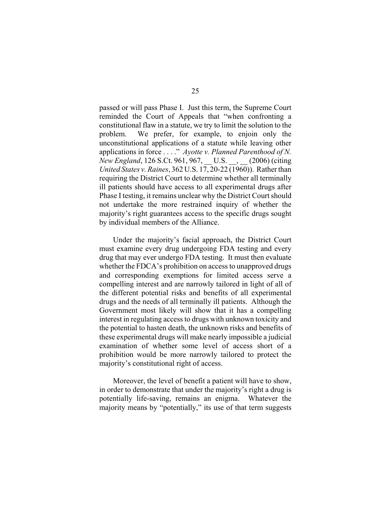passed or will pass Phase I. Just this term, the Supreme Court reminded the Court of Appeals that "when confronting a constitutional flaw in a statute, we try to limit the solution to the problem. We prefer, for example, to enjoin only the unconstitutional applications of a statute while leaving other applications in force . . . ." *Ayotte v. Planned Parenthood of N. New England*, 126 S.Ct. 961, 967, U.S. , (2006) (citing *United States v. Raines*, 362 U.S. 17, 20-22 (1960)). Rather than requiring the District Court to determine whether all terminally ill patients should have access to all experimental drugs after Phase I testing, it remains unclear why the District Court should not undertake the more restrained inquiry of whether the majority's right guarantees access to the specific drugs sought by individual members of the Alliance.

Under the majority's facial approach, the District Court must examine every drug undergoing FDA testing and every drug that may ever undergo FDA testing. It must then evaluate whether the FDCA's prohibition on access to unapproved drugs and corresponding exemptions for limited access serve a compelling interest and are narrowly tailored in light of all of the different potential risks and benefits of all experimental drugs and the needs of all terminally ill patients. Although the Government most likely will show that it has a compelling interest in regulating access to drugs with unknown toxicity and the potential to hasten death, the unknown risks and benefits of these experimental drugs will make nearly impossible a judicial examination of whether some level of access short of a prohibition would be more narrowly tailored to protect the majority's constitutional right of access.

Moreover, the level of benefit a patient will have to show, in order to demonstrate that under the majority's right a drug is potentially life-saving, remains an enigma. Whatever the majority means by "potentially," its use of that term suggests